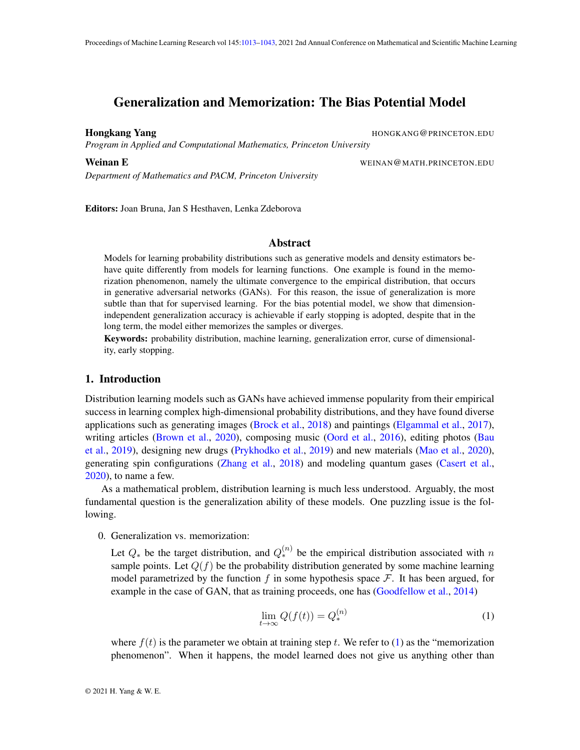# <span id="page-0-0"></span>Generalization and Memorization: The Bias Potential Model

Hongkang Yang HONGKANG@PRINCETON.EDU

*Program in Applied and Computational Mathematics, Princeton University*

*Department of Mathematics and PACM, Princeton University*

Weinan E WEINAN CHARGES WEINAN CHARGES WEINAN CHARGES WEINAN CHARGES AND THE UNIT OF THE UPSTANDING STATE OF THE UPSTAND ON THE UPSTANDING STATE OF THE UPSTAND ON THE UPSTAND OF THE UPSTAND OF THE UPSTAND OF THE UPSTAND OF

Editors: Joan Bruna, Jan S Hesthaven, Lenka Zdeborova

### Abstract

Models for learning probability distributions such as generative models and density estimators behave quite differently from models for learning functions. One example is found in the memorization phenomenon, namely the ultimate convergence to the empirical distribution, that occurs in generative adversarial networks (GANs). For this reason, the issue of generalization is more subtle than that for supervised learning. For the bias potential model, we show that dimensionindependent generalization accuracy is achievable if early stopping is adopted, despite that in the long term, the model either memorizes the samples or diverges.

Keywords: probability distribution, machine learning, generalization error, curse of dimensionality, early stopping.

### 1. Introduction

Distribution learning models such as GANs have achieved immense popularity from their empirical success in learning complex high-dimensional probability distributions, and they have found diverse applications such as generating images [\(Brock et al.,](#page-15-0) [2018\)](#page-15-0) and paintings [\(Elgammal et al.,](#page-16-0) [2017\)](#page-16-0), writing articles [\(Brown et al.,](#page-15-1) [2020\)](#page-15-1), composing music [\(Oord et al.,](#page-17-0) [2016\)](#page-17-0), editing photos [\(Bau](#page-15-2) [et al.,](#page-15-2) [2019\)](#page-15-2), designing new drugs [\(Prykhodko et al.,](#page-17-1) [2019\)](#page-17-1) and new materials [\(Mao et al.,](#page-17-2) [2020\)](#page-17-2), generating spin configurations [\(Zhang et al.,](#page-18-0) [2018\)](#page-18-0) and modeling quantum gases [\(Casert et al.,](#page-15-3) [2020\)](#page-15-3), to name a few.

As a mathematical problem, distribution learning is much less understood. Arguably, the most fundamental question is the generalization ability of these models. One puzzling issue is the following.

0. Generalization vs. memorization:

Let  $Q_*$  be the target distribution, and  $Q_*^{(n)}$  be the empirical distribution associated with n sample points. Let  $Q(f)$  be the probability distribution generated by some machine learning model parametrized by the function f in some hypothesis space  $\mathcal{F}$ . It has been argued, for example in the case of GAN, that as training proceeds, one has [\(Goodfellow et al.,](#page-16-1) [2014\)](#page-16-1)

<span id="page-0-1"></span>
$$
\lim_{t \to \infty} Q(f(t)) = Q_*^{(n)} \tag{1}
$$

where  $f(t)$  is the parameter we obtain at training step t. We refer to [\(1\)](#page-0-1) as the "memorization phenomenon". When it happens, the model learned does not give us anything other than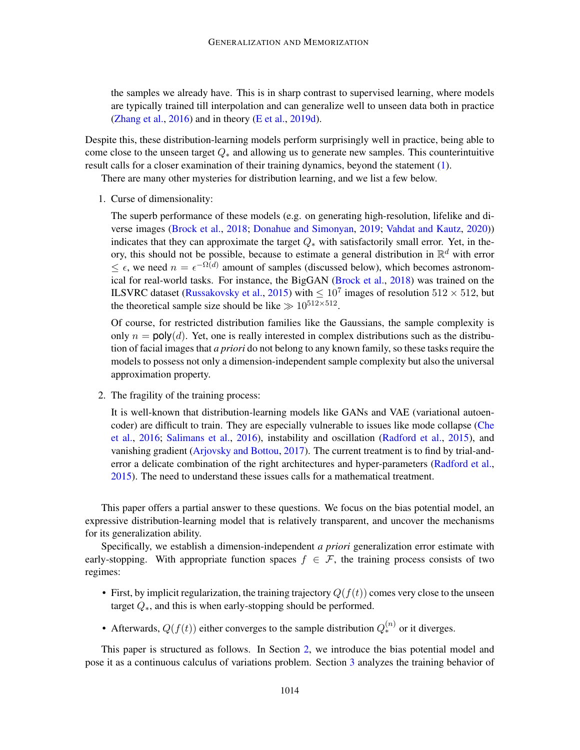the samples we already have. This is in sharp contrast to supervised learning, where models are typically trained till interpolation and can generalize well to unseen data both in practice [\(Zhang et al.,](#page-18-1) [2016\)](#page-18-1) and in theory [\(E et al.,](#page-16-2) [2019d\)](#page-16-2).

Despite this, these distribution-learning models perform surprisingly well in practice, being able to come close to the unseen target  $Q_*$  and allowing us to generate new samples. This counterintuitive result calls for a closer examination of their training dynamics, beyond the statement [\(1\)](#page-0-1).

There are many other mysteries for distribution learning, and we list a few below.

1. Curse of dimensionality:

The superb performance of these models (e.g. on generating high-resolution, lifelike and diverse images [\(Brock et al.,](#page-15-0) [2018;](#page-15-0) [Donahue and Simonyan,](#page-16-3) [2019;](#page-16-3) [Vahdat and Kautz,](#page-18-2) [2020\)](#page-18-2)) indicates that they can approximate the target  $Q_*$  with satisfactorily small error. Yet, in theory, this should not be possible, because to estimate a general distribution in  $\mathbb{R}^d$  with error  $\leq \epsilon$ , we need  $n = \epsilon^{-\Omega(d)}$  amount of samples (discussed below), which becomes astronomical for real-world tasks. For instance, the BigGAN [\(Brock et al.,](#page-15-0) [2018\)](#page-15-0) was trained on the ILSVRC dataset [\(Russakovsky et al.,](#page-17-3) [2015\)](#page-17-3) with  $\leq 10^7$  images of resolution  $512 \times 512$ , but the theoretical sample size should be like  $\gg 10^{512 \times 512}$ .

Of course, for restricted distribution families like the Gaussians, the sample complexity is only  $n = poly(d)$ . Yet, one is really interested in complex distributions such as the distribution of facial images that *a priori* do not belong to any known family, so these tasks require the models to possess not only a dimension-independent sample complexity but also the universal approximation property.

2. The fragility of the training process:

It is well-known that distribution-learning models like GANs and VAE (variational autoencoder) are difficult to train. They are especially vulnerable to issues like mode collapse [\(Che](#page-15-4) [et al.,](#page-15-4) [2016;](#page-15-4) [Salimans et al.,](#page-17-4) [2016\)](#page-17-4), instability and oscillation [\(Radford et al.,](#page-17-5) [2015\)](#page-17-5), and vanishing gradient [\(Arjovsky and Bottou,](#page-15-5) [2017\)](#page-15-5). The current treatment is to find by trial-anderror a delicate combination of the right architectures and hyper-parameters [\(Radford et al.,](#page-17-5) [2015\)](#page-17-5). The need to understand these issues calls for a mathematical treatment.

This paper offers a partial answer to these questions. We focus on the bias potential model, an expressive distribution-learning model that is relatively transparent, and uncover the mechanisms for its generalization ability.

Specifically, we establish a dimension-independent *a priori* generalization error estimate with early-stopping. With appropriate function spaces  $f \in \mathcal{F}$ , the training process consists of two regimes:

- First, by implicit regularization, the training trajectory  $Q(f(t))$  comes very close to the unseen target  $Q_*$ , and this is when early-stopping should be performed.
- Afterwards,  $Q(f(t))$  either converges to the sample distribution  $Q_*^{(n)}$  or it diverges.

This paper is structured as follows. In Section [2,](#page-3-0) we introduce the bias potential model and pose it as a continuous calculus of variations problem. Section [3](#page-7-0) analyzes the training behavior of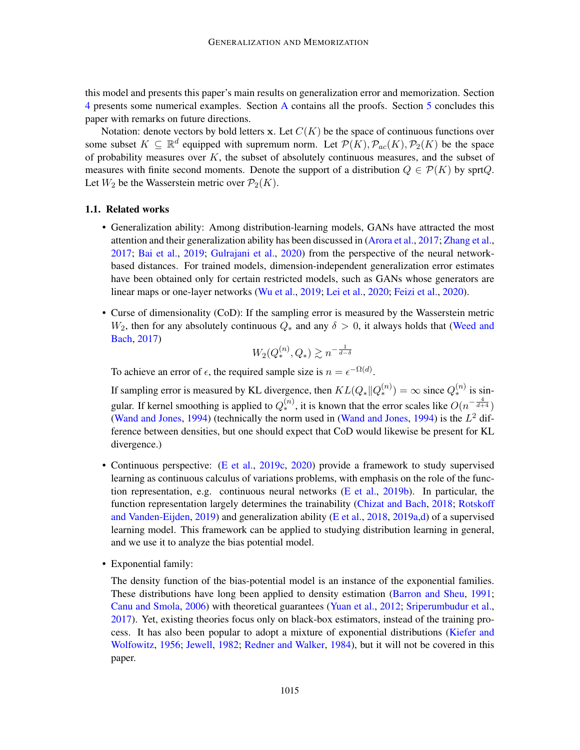this model and presents this paper's main results on generalization error and memorization. Section [4](#page-11-0) presents some numerical examples. Section [A](#page-18-3) contains all the proofs. Section [5](#page-12-0) concludes this paper with remarks on future directions.

Notation: denote vectors by bold letters x. Let  $C(K)$  be the space of continuous functions over some subset  $K \subseteq \mathbb{R}^d$  equipped with supremum norm. Let  $\mathcal{P}(K)$ ,  $\mathcal{P}_{ac}(K)$ ,  $\mathcal{P}_2(K)$  be the space of probability measures over  $K$ , the subset of absolutely continuous measures, and the subset of measures with finite second moments. Denote the support of a distribution  $Q \in \mathcal{P}(K)$  by sprtQ. Let  $W_2$  be the Wasserstein metric over  $\mathcal{P}_2(K)$ .

### 1.1. Related works

- Generalization ability: Among distribution-learning models, GANs have attracted the most attention and their generalization ability has been discussed in [\(Arora et al.,](#page-15-6) [2017;](#page-15-6) [Zhang et al.,](#page-18-4) [2017;](#page-18-4) [Bai et al.,](#page-15-7) [2019;](#page-15-7) [Gulrajani et al.,](#page-16-4) [2020\)](#page-16-4) from the perspective of the neural networkbased distances. For trained models, dimension-independent generalization error estimates have been obtained only for certain restricted models, such as GANs whose generators are linear maps or one-layer networks [\(Wu et al.,](#page-18-5) [2019;](#page-18-5) [Lei et al.,](#page-16-5) [2020;](#page-16-5) [Feizi et al.,](#page-16-6) [2020\)](#page-16-6).
- Curse of dimensionality (CoD): If the sampling error is measured by the Wasserstein metric  $W_2$ , then for any absolutely continuous  $Q_*$  and any  $\delta > 0$ , it always holds that [\(Weed and](#page-18-6) [Bach,](#page-18-6) [2017\)](#page-18-6)

$$
W_2(Q_*^{(n)},Q_*)\gtrsim n^{-\frac{1}{d-\delta}}
$$

To achieve an error of  $\epsilon$ , the required sample size is  $n = \epsilon^{-\Omega(d)}$ .

If sampling error is measured by KL divergence, then  $KL(Q_* || Q_*^{(n)}) = \infty$  since  $Q_*^{(n)}$  is singular. If kernel smoothing is applied to  $Q_*^{(n)}$ , it is known that the error scales like  $O(n^{-\frac{4}{d+4}})$ [\(Wand and Jones,](#page-18-7) [1994\)](#page-18-7) (technically the norm used in (Wand and Jones, 1994) is the  $L^2$  difference between densities, but one should expect that CoD would likewise be present for KL divergence.)

- Continuous perspective: [\(E et al.,](#page-16-7) [2019c,](#page-16-7) [2020\)](#page-16-8) provide a framework to study supervised learning as continuous calculus of variations problems, with emphasis on the role of the func-tion representation, e.g. continuous neural networks [\(E et al.,](#page-16-9) [2019b\)](#page-16-9). In particular, the function representation largely determines the trainability [\(Chizat and Bach,](#page-16-10) [2018;](#page-16-10) [Rotskoff](#page-17-6) [and Vanden-Eijden,](#page-17-6) [2019\)](#page-17-6) and generalization ability [\(E et al.,](#page-16-11) [2018,](#page-16-11) [2019a](#page-16-12)[,d\)](#page-16-2) of a supervised learning model. This framework can be applied to studying distribution learning in general, and we use it to analyze the bias potential model.
- Exponential family:

The density function of the bias-potential model is an instance of the exponential families. These distributions have long been applied to density estimation [\(Barron and Sheu,](#page-15-8) [1991;](#page-15-8) [Canu and Smola,](#page-15-9) [2006\)](#page-15-9) with theoretical guarantees [\(Yuan et al.,](#page-18-8) [2012;](#page-18-8) [Sriperumbudur et al.,](#page-18-9) [2017\)](#page-18-9). Yet, existing theories focus only on black-box estimators, instead of the training process. It has also been popular to adopt a mixture of exponential distributions [\(Kiefer and](#page-16-13) [Wolfowitz,](#page-16-13) [1956;](#page-16-13) [Jewell,](#page-16-14) [1982;](#page-16-14) [Redner and Walker,](#page-17-7) [1984\)](#page-17-7), but it will not be covered in this paper.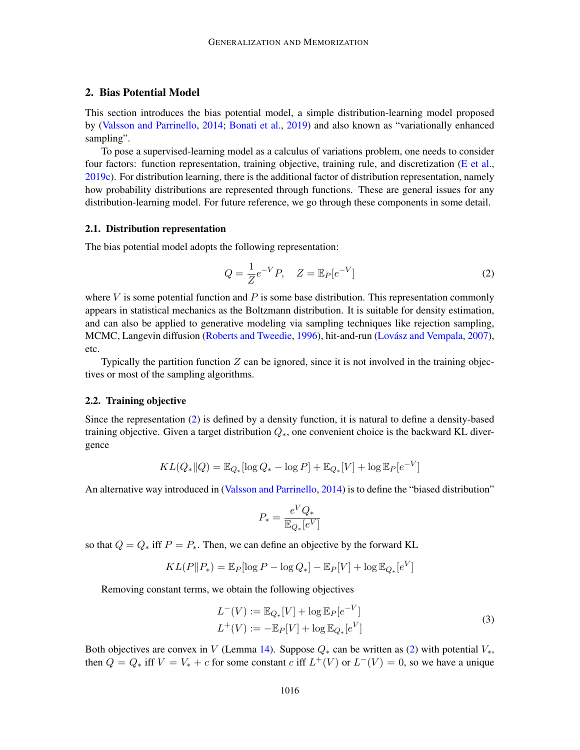# <span id="page-3-0"></span>2. Bias Potential Model

This section introduces the bias potential model, a simple distribution-learning model proposed by [\(Valsson and Parrinello,](#page-18-10) [2014;](#page-18-10) [Bonati et al.,](#page-15-10) [2019\)](#page-15-10) and also known as "variationally enhanced sampling".

To pose a supervised-learning model as a calculus of variations problem, one needs to consider four factors: function representation, training objective, training rule, and discretization [\(E et al.,](#page-16-7) [2019c\)](#page-16-7). For distribution learning, there is the additional factor of distribution representation, namely how probability distributions are represented through functions. These are general issues for any distribution-learning model. For future reference, we go through these components in some detail.

### 2.1. Distribution representation

The bias potential model adopts the following representation:

<span id="page-3-1"></span>
$$
Q = \frac{1}{Z}e^{-V}P, \quad Z = \mathbb{E}_P[e^{-V}]
$$
\n
$$
(2)
$$

where  $V$  is some potential function and  $P$  is some base distribution. This representation commonly appears in statistical mechanics as the Boltzmann distribution. It is suitable for density estimation, and can also be applied to generative modeling via sampling techniques like rejection sampling, MCMC, Langevin diffusion [\(Roberts and Tweedie,](#page-17-8) [1996\)](#page-17-8), hit-and-run (Lovász and Vempala, [2007\)](#page-17-9), etc.

Typically the partition function  $Z$  can be ignored, since it is not involved in the training objectives or most of the sampling algorithms.

#### 2.2. Training objective

Since the representation [\(2\)](#page-3-1) is defined by a density function, it is natural to define a density-based training objective. Given a target distribution  $Q_*$ , one convenient choice is the backward KL divergence

$$
KL(Q_* \| Q) = \mathbb{E}_{Q_*}[\log Q_* - \log P] + \mathbb{E}_{Q_*}[V] + \log \mathbb{E}_P[e^{-V}]
$$

An alternative way introduced in [\(Valsson and Parrinello,](#page-18-10) [2014\)](#page-18-10) is to define the "biased distribution"

<span id="page-3-2"></span>
$$
P_*=\frac{e^VQ_*}{\mathbb{E}_{Q_*}[e^V]}
$$

so that  $Q = Q_*$  iff  $P = P_*$ . Then, we can define an objective by the forward KL

$$
KL(P||P_*) = \mathbb{E}_P[\log P - \log Q_*] - \mathbb{E}_P[V] + \log \mathbb{E}_{Q_*}[e^V]
$$

Removing constant terms, we obtain the following objectives

$$
L^{-}(V) := \mathbb{E}_{Q_{*}}[V] + \log \mathbb{E}_{P}[e^{-V}]
$$
  
\n
$$
L^{+}(V) := -\mathbb{E}_{P}[V] + \log \mathbb{E}_{Q_{*}}[e^{V}]
$$
\n(3)

Both objectives are convex in V (Lemma [14\)](#page-21-0). Suppose  $Q_*$  can be written as [\(2\)](#page-3-1) with potential  $V_*$ , then  $Q = Q_*$  iff  $V = V_* + c$  for some constant c iff  $L^+(V)$  or  $L^-(V) = 0$ , so we have a unique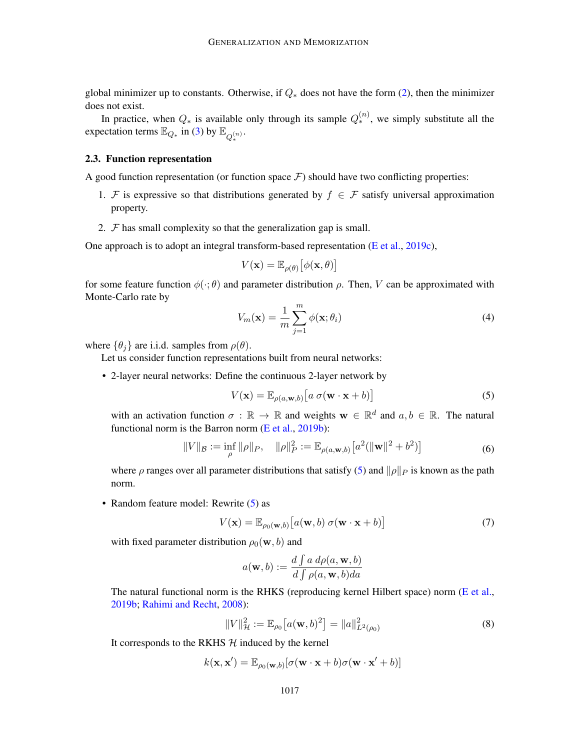global minimizer up to constants. Otherwise, if  $Q_*$  does not have the form [\(2\)](#page-3-1), then the minimizer does not exist.

In practice, when  $Q_*$  is available only through its sample  $Q_*^{(n)}$ , we simply substitute all the expectation terms  $\mathbb{E}_{Q_*}$  in [\(3\)](#page-3-2) by  $\mathbb{E}_{Q_*^{(n)}}$ .

#### 2.3. Function representation

A good function representation (or function space  $\mathcal F$ ) should have two conflicting properties:

- 1. F is expressive so that distributions generated by  $f \in \mathcal{F}$  satisfy universal approximation property.
- 2.  $F$  has small complexity so that the generalization gap is small.

One approach is to adopt an integral transform-based representation [\(E et al.,](#page-16-7) [2019c\)](#page-16-7),

$$
V(\mathbf{x}) = \mathbb{E}_{\rho(\theta)} \big[ \phi(\mathbf{x}, \theta) \big]
$$

for some feature function  $\phi(\cdot;\theta)$  and parameter distribution  $\rho$ . Then, V can be approximated with Monte-Carlo rate by

<span id="page-4-1"></span>
$$
V_m(\mathbf{x}) = \frac{1}{m} \sum_{j=1}^{m} \phi(\mathbf{x}; \theta_i)
$$
\n(4)

where  $\{\theta_i\}$  are i.i.d. samples from  $\rho(\theta)$ .

Let us consider function representations built from neural networks:

• 2-layer neural networks: Define the continuous 2-layer network by

<span id="page-4-4"></span><span id="page-4-0"></span>
$$
V(\mathbf{x}) = \mathbb{E}_{\rho(a,\mathbf{w},b)}\big[a \,\sigma(\mathbf{w}\cdot\mathbf{x} + b)\big]
$$
 (5)

with an activation function  $\sigma : \mathbb{R} \to \mathbb{R}$  and weights  $\mathbf{w} \in \mathbb{R}^d$  and  $a, b \in \mathbb{R}$ . The natural functional norm is the Barron norm [\(E et al.,](#page-16-9) [2019b\)](#page-16-9):

$$
||V||_{\mathcal{B}} := \inf_{\rho} ||\rho||_{P}, \quad ||\rho||_{P}^{2} := \mathbb{E}_{\rho(a, \mathbf{w}, b)} \left[ a^{2} (||\mathbf{w}||^{2} + b^{2}) \right]
$$
(6)

where  $\rho$  ranges over all parameter distributions that satisfy [\(5\)](#page-4-0) and  $\|\rho\|_P$  is known as the path norm.

• Random feature model: Rewrite [\(5\)](#page-4-0) as

<span id="page-4-2"></span>
$$
V(\mathbf{x}) = \mathbb{E}_{\rho_0(\mathbf{w},b)} \left[ a(\mathbf{w},b) \ \sigma(\mathbf{w} \cdot \mathbf{x} + b) \right]
$$
 (7)

with fixed parameter distribution  $\rho_0(\mathbf{w}, b)$  and

$$
a(\mathbf{w}, b) := \frac{d \int a \, d\rho(a, \mathbf{w}, b)}{d \int \rho(a, \mathbf{w}, b) da}
$$

The natural functional norm is the RHKS (reproducing kernel Hilbert space) norm [\(E et al.,](#page-16-9) [2019b;](#page-16-9) [Rahimi and Recht,](#page-17-10) [2008\)](#page-17-10):

<span id="page-4-3"></span>
$$
||V||_{\mathcal{H}}^2 := \mathbb{E}_{\rho_0} \big[ a(\mathbf{w}, b)^2 \big] = ||a||_{L^2(\rho_0)}^2 \tag{8}
$$

It corresponds to the RKHS  $H$  induced by the kernel

$$
k(\mathbf{x}, \mathbf{x}') = \mathbb{E}_{\rho_0(\mathbf{w},b)}[\sigma(\mathbf{w} \cdot \mathbf{x} + b)\sigma(\mathbf{w} \cdot \mathbf{x}' + b)]
$$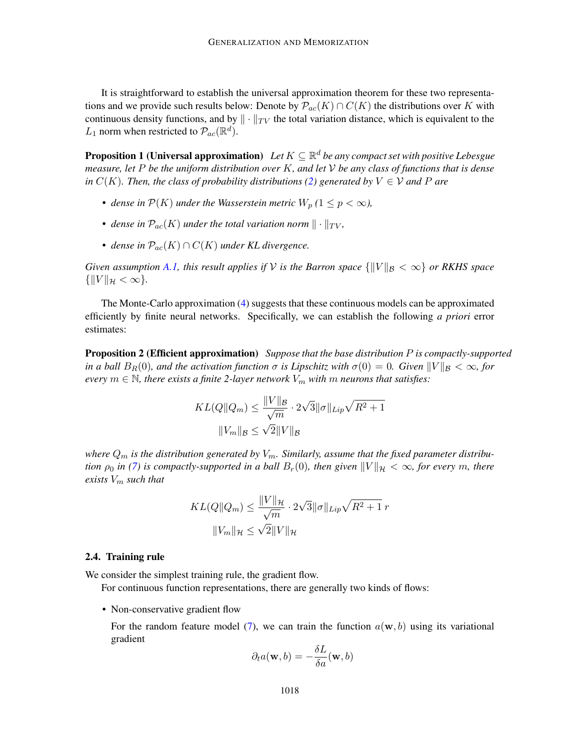It is straightforward to establish the universal approximation theorem for these two representations and we provide such results below: Denote by  $\mathcal{P}_{ac}(K) \cap C(K)$  the distributions over K with continuous density functions, and by  $\|\cdot\|_{TV}$  the total variation distance, which is equivalent to the  $L_1$  norm when restricted to  $\mathcal{P}_{ac}(\mathbb{R}^d)$ .

<span id="page-5-0"></span>**Proposition 1 (Universal approximation)** Let  $K \subseteq \mathbb{R}^d$  be any compact set with positive Lebesgue *measure, let* P *be the uniform distribution over* K*, and let* V *be any class of functions that is dense in*  $C(K)$ *. Then, the class of probability distributions [\(2\)](#page-3-1) generated by*  $V \in V$  *and* P are

- dense in  $\mathcal{P}(K)$  under the Wasserstein metric  $W_p$  ( $1 \leq p < \infty$ ),
- dense in  $\mathcal{P}_{ac}(K)$  under the total variation norm  $\|\cdot\|_{TV}$ ,
- *dense in*  $\mathcal{P}_{ac}(K) \cap C(K)$  *under KL divergence.*

*Given assumption* [A.1,](#page-18-11) this result applies if V is the Barron space  $\{||V||_B < \infty\}$  or RKHS space  $\{||V||_{\mathcal{H}} < \infty\}.$ 

The Monte-Carlo approximation [\(4\)](#page-4-1) suggests that these continuous models can be approximated efficiently by finite neural networks. Specifically, we can establish the following *a priori* error estimates:

<span id="page-5-2"></span>Proposition 2 (Efficient approximation) *Suppose that the base distribution* P *is compactly-supported in a ball*  $B_R(0)$ *, and the activation function*  $\sigma$  *is Lipschitz with*  $\sigma(0) = 0$ *. Given*  $||V||_B < \infty$ *, for every*  $m \in \mathbb{N}$ , there exists a finite 2-layer network  $V_m$  with  $m$  neurons that satisfies:

$$
KL(Q||Q_m) \le \frac{||V||_{\mathcal{B}}}{\sqrt{m}} \cdot 2\sqrt{3} ||\sigma||_{Lip} \sqrt{R^2 + 1}
$$

$$
||V_m||_{\mathcal{B}} \le \sqrt{2} ||V||_{\mathcal{B}}
$$

where  $Q_m$  is the distribution generated by  $V_m$ . Similarly, assume that the fixed parameter distribu*tion*  $\rho_0$  *in* [\(7\)](#page-4-2) *is compactly-supported in a ball*  $B_r(0)$ *, then given*  $||V||_{\mathcal{H}} < \infty$ *, for every* m, there *exists* V<sup>m</sup> *such that*

$$
KL(Q||Q_m) \le \frac{||V||_{\mathcal{H}}}{\sqrt{m}} \cdot 2\sqrt{3} ||\sigma||_{Lip} \sqrt{R^2 + 1} r
$$

$$
||V_m||_{\mathcal{H}} \le \sqrt{2} ||V||_{\mathcal{H}}
$$

### <span id="page-5-1"></span>2.4. Training rule

We consider the simplest training rule, the gradient flow.

For continuous function representations, there are generally two kinds of flows:

• Non-conservative gradient flow

For the random feature model [\(7\)](#page-4-2), we can train the function  $a(\mathbf{w}, b)$  using its variational gradient

$$
\partial_t a(\mathbf{w}, b) = -\frac{\delta L}{\delta a}(\mathbf{w}, b)
$$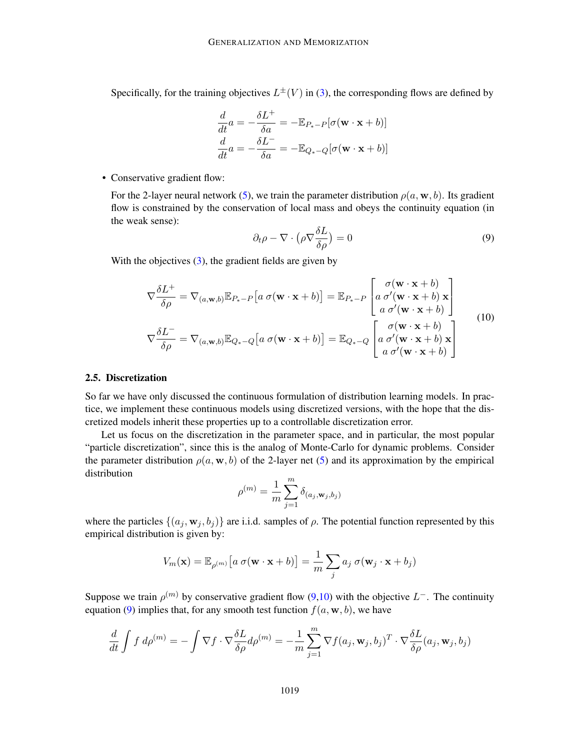Specifically, for the training objectives  $L^{\pm}(V)$  in [\(3\)](#page-3-2), the corresponding flows are defined by

$$
\frac{d}{dt}a = -\frac{\delta L^{+}}{\delta a} = -\mathbb{E}_{P_{*}-P}[\sigma(\mathbf{w} \cdot \mathbf{x} + b)]
$$

$$
\frac{d}{dt}a = -\frac{\delta L^{-}}{\delta a} = -\mathbb{E}_{Q_{*}-Q}[\sigma(\mathbf{w} \cdot \mathbf{x} + b)]
$$

• Conservative gradient flow:

For the 2-layer neural network [\(5\)](#page-4-0), we train the parameter distribution  $\rho(a, \mathbf{w}, b)$ . Its gradient flow is constrained by the conservation of local mass and obeys the continuity equation (in the weak sense):

<span id="page-6-1"></span><span id="page-6-0"></span>
$$
\partial_t \rho - \nabla \cdot \left( \rho \nabla \frac{\delta L}{\delta \rho} \right) = 0 \tag{9}
$$

With the objectives [\(3\)](#page-3-2), the gradient fields are given by

$$
\nabla \frac{\delta L^{+}}{\delta \rho} = \nabla_{(a, \mathbf{w}, b)} \mathbb{E}_{P_{*} - P} \left[ a \sigma (\mathbf{w} \cdot \mathbf{x} + b) \right] = \mathbb{E}_{P_{*} - P} \left[ a \sigma' (\mathbf{w} \cdot \mathbf{x} + b) \mathbf{x} \right]
$$
  

$$
\nabla \frac{\delta L^{-}}{\delta \rho} = \nabla_{(a, \mathbf{w}, b)} \mathbb{E}_{Q_{*} - Q} \left[ a \sigma (\mathbf{w} \cdot \mathbf{x} + b) \right] = \mathbb{E}_{Q_{*} - Q} \left[ a \sigma' (\mathbf{w} \cdot \mathbf{x} + b) \mathbf{x} \right]
$$
  

$$
\sigma (\mathbf{w} \cdot \mathbf{x} + b)
$$
  

$$
a \sigma' (\mathbf{w} \cdot \mathbf{x} + b) \mathbf{x}
$$
  

$$
a \sigma' (\mathbf{w} \cdot \mathbf{x} + b)
$$
  

$$
a \sigma' (\mathbf{w} \cdot \mathbf{x} + b)
$$

### 2.5. Discretization

So far we have only discussed the continuous formulation of distribution learning models. In practice, we implement these continuous models using discretized versions, with the hope that the discretized models inherit these properties up to a controllable discretization error.

Let us focus on the discretization in the parameter space, and in particular, the most popular "particle discretization", since this is the analog of Monte-Carlo for dynamic problems. Consider the parameter distribution  $\rho(a, \mathbf{w}, b)$  of the 2-layer net [\(5\)](#page-4-0) and its approximation by the empirical distribution

$$
\rho^{(m)} = \frac{1}{m} \sum_{j=1}^{m} \delta_{(a_j, \mathbf{w}_j, b_j)}
$$

where the particles  $\{(a_j, \mathbf{w}_j, b_j)\}\$  are i.i.d. samples of  $\rho$ . The potential function represented by this empirical distribution is given by:

$$
V_m(\mathbf{x}) = \mathbb{E}_{\rho^{(m)}}[a \sigma(\mathbf{w} \cdot \mathbf{x} + b)] = \frac{1}{m} \sum_j a_j \sigma(\mathbf{w}_j \cdot \mathbf{x} + b_j)
$$

Suppose we train  $\rho^{(m)}$  by conservative gradient flow [\(9,](#page-6-0)[10\)](#page-6-1) with the objective  $L^-$ . The continuity equation [\(9\)](#page-6-0) implies that, for any smooth test function  $f(a, \mathbf{w}, b)$ , we have

$$
\frac{d}{dt} \int f \, d\rho^{(m)} = -\int \nabla f \cdot \nabla \frac{\delta L}{\delta \rho} d\rho^{(m)} = -\frac{1}{m} \sum_{j=1}^{m} \nabla f(a_j, \mathbf{w}_j, b_j)^T \cdot \nabla \frac{\delta L}{\delta \rho}(a_j, \mathbf{w}_j, b_j)
$$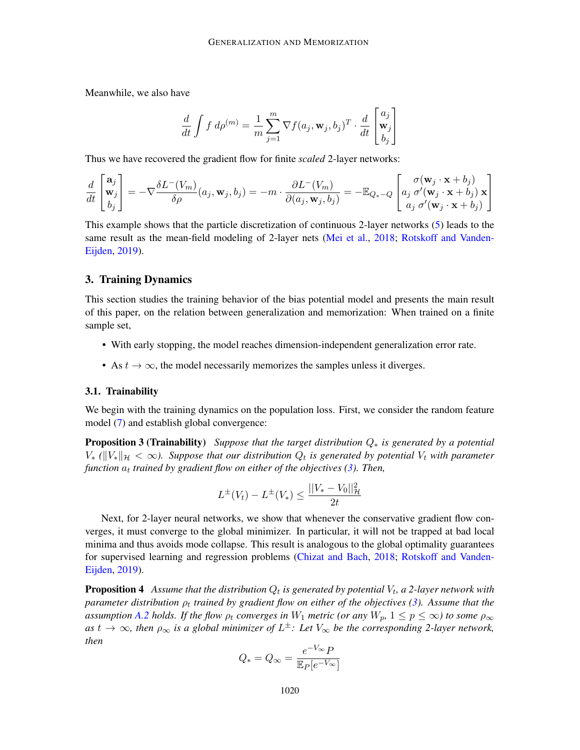Meanwhile, we also have

$$
\frac{d}{dt} \int f \, d\rho^{(m)} = \frac{1}{m} \sum_{j=1}^{m} \nabla f(a_j, \mathbf{w}_j, b_j)^T \cdot \frac{d}{dt} \begin{bmatrix} a_j \\ \mathbf{w}_j \\ b_j \end{bmatrix}
$$

Thus we have recovered the gradient flow for finite *scaled* 2-layer networks:

$$
\frac{d}{dt} \begin{bmatrix} \mathbf{a}_j \\ \mathbf{w}_j \\ b_j \end{bmatrix} = -\nabla \frac{\delta L^-(V_m)}{\delta \rho}(a_j, \mathbf{w}_j, b_j) = -m \cdot \frac{\partial L^-(V_m)}{\partial(a_j, \mathbf{w}_j, b_j)} = -\mathbb{E}_{Q_* - Q} \begin{bmatrix} \sigma(\mathbf{w}_j \cdot \mathbf{x} + b_j) \\ a_j \sigma'(\mathbf{w}_j \cdot \mathbf{x} + b_j) \mathbf{x} \\ a_j \sigma'(\mathbf{w}_j \cdot \mathbf{x} + b_j) \end{bmatrix}
$$

This example shows that the particle discretization of continuous 2-layer networks [\(5\)](#page-4-0) leads to the same result as the mean-field modeling of 2-layer nets [\(Mei et al.,](#page-17-11) [2018;](#page-17-11) [Rotskoff and Vanden-](#page-17-6)[Eijden,](#page-17-6) [2019\)](#page-17-6).

#### <span id="page-7-0"></span>3. Training Dynamics

This section studies the training behavior of the bias potential model and presents the main result of this paper, on the relation between generalization and memorization: When trained on a finite sample set,

- With early stopping, the model reaches dimension-independent generalization error rate.
- As  $t \to \infty$ , the model necessarily memorizes the samples unless it diverges.

#### 3.1. Trainability

We begin with the training dynamics on the population loss. First, we consider the random feature model [\(7\)](#page-4-2) and establish global convergence:

Proposition 3 (Trainability) *Suppose that the target distribution* Q<sup>∗</sup> *is generated by a potential*  $V_*$  ( $\|V_*\|_{\mathcal{H}} < \infty$ ). Suppose that our distribution  $Q_t$  is generated by potential  $V_t$  with parameter *function*  $a_t$  trained by gradient flow on either of the objectives [\(3\)](#page-3-2). Then,

<span id="page-7-1"></span>
$$
L^{\pm}(V_t) - L^{\pm}(V_*) \le \frac{||V_* - V_0||^2_{\mathcal{H}}}{2t}
$$

Next, for 2-layer neural networks, we show that whenever the conservative gradient flow converges, it must converge to the global minimizer. In particular, it will not be trapped at bad local minima and thus avoids mode collapse. This result is analogous to the global optimality guarantees for supervised learning and regression problems [\(Chizat and Bach,](#page-16-10) [2018;](#page-16-10) [Rotskoff and Vanden-](#page-17-6)[Eijden,](#page-17-6) [2019\)](#page-17-6).

<span id="page-7-2"></span> ${\bf Proposition \ 4}$   $\ \ A$  *ssume that the distribution*  $Q_t$  *is generated by potential*  $V_t$ *, a 2-layer network with parameter distribution*  $\rho_t$  *trained by gradient flow on either of the objectives [\(3\)](#page-3-2). Assume that the assumption [A.2](#page-22-0) holds. If the flow*  $\rho_t$  *<i>converges in*  $W_1$  *metric (or any*  $W_p$ ,  $1 \leq p \leq \infty$ ) to some  $\rho_{\infty}$ as  $t \to \infty$ , then  $\rho_{\infty}$  is a global minimizer of  $L^{\pm}$ : Let  $V_{\infty}$  be the corresponding 2-layer network, *then*

$$
Q_* = Q_{\infty} = \frac{e^{-V_{\infty}}P}{\mathbb{E}_P[e^{-V_{\infty}}]}
$$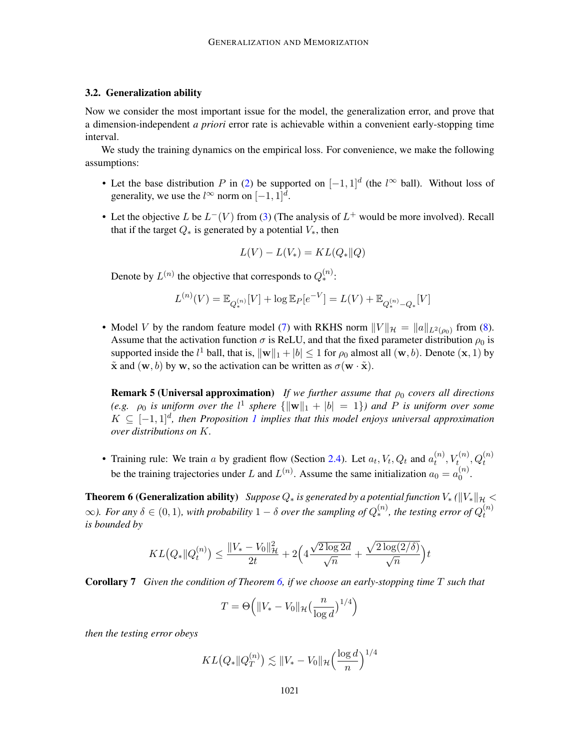### 3.2. Generalization ability

Now we consider the most important issue for the model, the generalization error, and prove that a dimension-independent *a priori* error rate is achievable within a convenient early-stopping time interval.

We study the training dynamics on the empirical loss. For convenience, we make the following assumptions:

- Let the base distribution P in [\(2\)](#page-3-1) be supported on  $[-1,1]^d$  (the  $l^{\infty}$  ball). Without loss of generality, we use the  $l^{\infty}$  norm on  $[-1, 1]^d$ .
- Let the objective L be  $L^-(V)$  from [\(3\)](#page-3-2) (The analysis of  $L^+$  would be more involved). Recall that if the target  $Q_*$  is generated by a potential  $V_*$ , then

$$
L(V) - L(V_*) = KL(Q_* \| Q)
$$

Denote by  $L^{(n)}$  the objective that corresponds to  $Q_*^{(n)}$ :

$$
L^{(n)}(V) = \mathbb{E}_{Q_*^{(n)}}[V] + \log \mathbb{E}_P[e^{-V}] = L(V) + \mathbb{E}_{Q_*^{(n)} - Q_*}[V]
$$

• Model V by the random feature model [\(7\)](#page-4-2) with RKHS norm  $||V||_{\mathcal{H}} = ||a||_{L^2(\rho_0)}$  from [\(8\)](#page-4-3). Assume that the activation function  $\sigma$  is ReLU, and that the fixed parameter distribution  $\rho_0$  is supported inside the  $l^1$  ball, that is,  $\|\mathbf{w}\|_1 + |b| \leq 1$  for  $\rho_0$  almost all  $(\mathbf{w}, b)$ . Denote  $(\mathbf{x}, 1)$  by  $\tilde{\mathbf{x}}$  and  $(\mathbf{w}, b)$  by w, so the activation can be written as  $\sigma(\mathbf{w} \cdot \tilde{\mathbf{x}})$ .

<span id="page-8-1"></span>**Remark 5 (Universal approximation)** *If we further assume that*  $\rho_0$  *covers all directions (e.g.*  $\rho_0$  *is uniform over the*  $l^1$  *sphere*  $\{\|\mathbf{w}\|_1 + |b| = 1\}$ *) and* P *is uniform over some*  $K ⊆ [-1, 1]$  $K ⊆ [-1, 1]$  $K ⊆ [-1, 1]$ <sup>d</sup>, then Proposition 1 implies that this model enjoys universal approximation *over distributions on* K*.*

• Training rule: We train a by gradient flow (Section [2.4\)](#page-5-1). Let  $a_t$ ,  $V_t$ ,  $Q_t$  and  $a_t^{(n)}$  $\mathcal{U}_t^{(n)}, V_t^{(n)}, Q_t^{(n)}$ be the training trajectories under L and  $L^{(n)}$ . Assume the same initialization  $a_0 = a_0^{(n)}$  $\overset{(n)}{0}$ .

<span id="page-8-0"></span>**Theorem 6 (Generalization ability)** *Suppose*  $Q_*$  *is generated by a potential function*  $V_*$  ( $\|V_*\|_{\mathcal{H}}$  <  $\infty$ ). For any  $\delta \in (0,1)$ , with probability  $1-\delta$  over the sampling of  $Q_*^{(n)}$ , the testing error of  $Q_t^{(n)}$ t *is bounded by*

$$
KL(Q_* \| Q_t^{(n)}) \le \frac{\| V_* - V_0 \|_{\mathcal{H}}^2}{2t} + 2\Big(4\frac{\sqrt{2\log 2d}}{\sqrt{n}} + \frac{\sqrt{2\log(2/\delta)}}{\sqrt{n}} \Big) t
$$

<span id="page-8-2"></span>Corollary 7 *Given the condition of Theorem [6,](#page-8-0) if we choose an early-stopping time* T *such that*

$$
T = \Theta\left(\|V_* - V_0\|_{\mathcal{H}}\left(\frac{n}{\log d}\right)^{1/4}\right)
$$

*then the testing error obeys*

$$
KL(Q_* \| Q_T^{(n)}) \lesssim \| V_* - V_0 \|_{\mathcal{H}} \left( \frac{\log d}{n} \right)^{1/4}
$$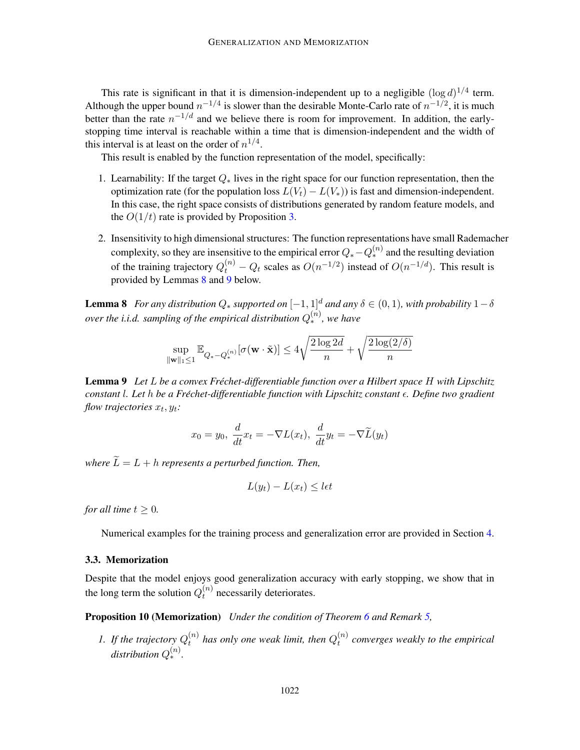This rate is significant in that it is dimension-independent up to a negligible  $(\log d)^{1/4}$  term. Although the upper bound  $n^{-1/4}$  is slower than the desirable Monte-Carlo rate of  $n^{-1/2}$ , it is much better than the rate  $n^{-1/d}$  and we believe there is room for improvement. In addition, the earlystopping time interval is reachable within a time that is dimension-independent and the width of this interval is at least on the order of  $n^{1/4}$ .

This result is enabled by the function representation of the model, specifically:

- 1. Learnability: If the target  $Q_*$  lives in the right space for our function representation, then the optimization rate (for the population loss  $L(V_t) - L(V_*)$ ) is fast and dimension-independent. In this case, the right space consists of distributions generated by random feature models, and the  $O(1/t)$  rate is provided by Proposition [3.](#page-7-1)
- 2. Insensitivity to high dimensional structures: The function representations have small Rademacher complexity, so they are insensitive to the empirical error  $Q_* - Q_*^{(n)}$  and the resulting deviation of the training trajectory  $Q_t^{(n)} - Q_t$  scales as  $O(n^{-1/2})$  instead of  $O(n^{-1/d})$ . This result is provided by Lemmas [8](#page-9-0) and [9](#page-9-1) below.

<span id="page-9-0"></span>**Lemma 8** *For any distribution*  $Q_*$  *supported on*  $[-1, 1]^d$  *and any*  $\delta \in (0, 1)$ *, with probability*  $1 - \delta$ *over the i.i.d. sampling of the empirical distribution*  $Q_*^{(n)}$ , we have

$$
\sup_{\|\mathbf{w}\|_1\leq 1}\mathbb{E}_{Q_*-Q_*^{(n)}}[\sigma(\mathbf{w}\cdot\tilde{\mathbf{x}})]\leq 4\sqrt{\frac{2\log 2d}{n}}+\sqrt{\frac{2\log(2/\delta)}{n}}
$$

<span id="page-9-1"></span>**Lemma 9** Let L be a convex Fréchet-differentiable function over a Hilbert space H with Lipschitz *constant* l*. Let* h *be a Frechet-differentiable function with Lipschitz constant ´ . Define two gradient* flow trajectories  $x_t, y_t$ :

$$
x_0 = y_0, \frac{d}{dt}x_t = -\nabla L(x_t), \frac{d}{dt}y_t = -\nabla \widetilde{L}(y_t)
$$

*where*  $\tilde{L} = L + h$  *represents a perturbed function. Then,* 

$$
L(y_t) - L(x_t) \le \det
$$

*for all time*  $t \geq 0$ *.* 

Numerical examples for the training process and generalization error are provided in Section [4.](#page-11-0)

#### 3.3. Memorization

Despite that the model enjoys good generalization accuracy with early stopping, we show that in the long term the solution  $Q_t^{(n)}$  $t^{(n)}$  necessarily deteriorates.

<span id="page-9-2"></span>Proposition 10 (Memorization) *Under the condition of Theorem [6](#page-8-0) and Remark [5,](#page-8-1)*

*1.* If the trajectory  $Q_t^{(n)}$  $t_t^{(n)}$  has only one weak limit, then  $Q_t^{(n)}$ t *converges weakly to the empirical*  $distribution Q_*^{(n)}$ .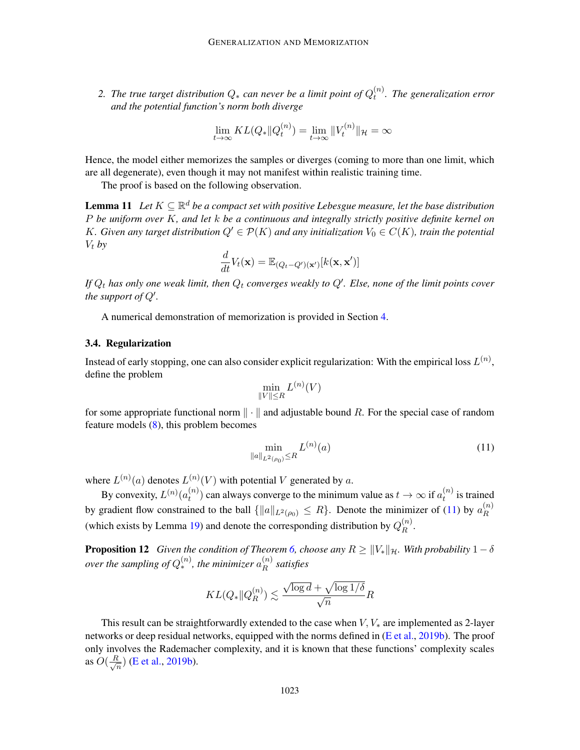2. The true target distribution  $Q_*$  can never be a limit point of  $Q_t^{(n)}$ t *. The generalization error and the potential function's norm both diverge*

<span id="page-10-1"></span>
$$
\lim_{t\to\infty} KL(Q_* \| Q_t^{(n)}) = \lim_{t\to\infty} \| V_t^{(n)} \|_{\mathcal{H}} = \infty
$$

Hence, the model either memorizes the samples or diverges (coming to more than one limit, which are all degenerate), even though it may not manifest within realistic training time.

The proof is based on the following observation.

**Lemma 11** Let  $K \subseteq \mathbb{R}^d$  be a compact set with positive Lebesgue measure, let the base distribution P *be uniform over* K*, and let* k *be a continuous and integrally strictly positive definite kernel on* K. Given any target distribution  $Q' \in \mathcal{P}(K)$  and any initialization  $V_0 \in C(K)$ , train the potential  $V_t$  *by* 

$$
\frac{d}{dt}V_t(\mathbf{x}) = \mathbb{E}_{(Q_t - Q')(\mathbf{x}')}[k(\mathbf{x}, \mathbf{x}')]
$$

If  $Q_t$  has only one weak limit, then  $Q_t$  converges weakly to  $Q'$ . Else, none of the limit points cover *the support of*  $Q'$ .

A numerical demonstration of memorization is provided in Section [4.](#page-11-0)

### 3.4. Regularization

Instead of early stopping, one can also consider explicit regularization: With the empirical loss  $L^{(n)}$ , define the problem

$$
\min_{\|V\|\leq R} L^{(n)}(V)
$$

for some appropriate functional norm  $\|\cdot\|$  and adjustable bound R. For the special case of random feature models [\(8\)](#page-4-3), this problem becomes

<span id="page-10-0"></span>
$$
\min_{\|a\|_{L^2(\rho_0)} \le R} L^{(n)}(a) \tag{11}
$$

where  $L^{(n)}(a)$  denotes  $L^{(n)}(V)$  with potential V generated by a.

By convexity,  $L^{(n)}(a_t^{(n)})$  $t^{(n)}_t$ ) can always converge to the minimum value as  $t\to\infty$  if  $a^{(n)}_t$  $t^{(n)}$  is trained by gradient flow constrained to the ball  $\{\|a\|_{L^2(\rho_0)} \leq R\}$ . Denote the minimizer of [\(11\)](#page-10-0) by  $a_R^{(n)}$ R (which exists by Lemma [19\)](#page-30-1) and denote the corresponding distribution by  $Q_R^{(n)}$  $\mathbb{R}^{n}$ .

<span id="page-10-2"></span>**Proposition 12** *Given the condition of Theorem [6,](#page-8-0) choose any*  $R \ge ||V_*||_{\mathcal{H}}$ *. With probability*  $1 - \delta$ *over the sampling of*  $Q_*^{(n)}$ , the minimizer  $a_R^{(n)}$ R *satisfies*

$$
KL(Q_* \| Q_R^{(n)}) \lesssim \frac{\sqrt{\log d} + \sqrt{\log 1/\delta}}{\sqrt n} R
$$

This result can be straightforwardly extended to the case when  $V, V_*$  are implemented as 2-layer networks or deep residual networks, equipped with the norms defined in [\(E et al.,](#page-16-9) [2019b\)](#page-16-9). The proof only involves the Rademacher complexity, and it is known that these functions' complexity scales as  $O(\frac{R}{\sqrt{2}})$  $\frac{1}{n}$ ) [\(E et al.,](#page-16-9) [2019b\)](#page-16-9).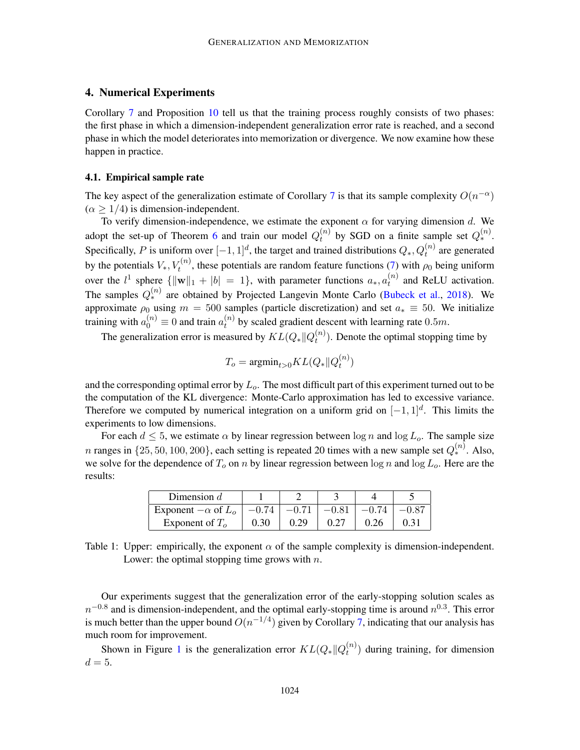# <span id="page-11-0"></span>4. Numerical Experiments

Corollary [7](#page-8-2) and Proposition [10](#page-9-2) tell us that the training process roughly consists of two phases: the first phase in which a dimension-independent generalization error rate is reached, and a second phase in which the model deteriorates into memorization or divergence. We now examine how these happen in practice.

### <span id="page-11-1"></span>4.1. Empirical sample rate

The key aspect of the generalization estimate of Corollary [7](#page-8-2) is that its sample complexity  $O(n^{-\alpha})$  $(\alpha \geq 1/4)$  is dimension-independent.

To verify dimension-independence, we estimate the exponent  $\alpha$  for varying dimension d. We adopt the set-up of Theorem [6](#page-8-0) and train our model  $Q_t^{(n)}$  $t^{(n)}$  by SGD on a finite sample set  $Q_*^{(n)}$ . Specifically, P is uniform over  $[-1, 1]^d$ , the target and trained distributions  $Q_*, Q_t^{(n)}$  are generated by the potentials  $V_*, V_t^{(n)}$ , these potentials are random feature functions [\(7\)](#page-4-2) with  $\rho_0$  being uniform over the  $l^1$  sphere  $\{\|\mathbf{w}\|_1 + |b| = 1\}$ , with parameter functions  $a_*, a_t^{(n)}$  $t^{(n)}$  and ReLU activation. The samples  $Q_*^{(n)}$  are obtained by Projected Langevin Monte Carlo [\(Bubeck et al.,](#page-15-11) [2018\)](#page-15-11). We approximate  $\rho_0$  using  $m = 500$  samples (particle discretization) and set  $a_* \equiv 50$ . We initialize training with  $a_0^{(n)}\equiv 0$  and train  $a_t^{(n)}$  $t^{(n)}$  by scaled gradient descent with learning rate 0.5m.

The generalization error is measured by  $KL(Q_*||Q^{(n)}_t)$  $t^{(n)}$ ). Denote the optimal stopping time by

$$
T_o = \mathrm{argmin}_{t>0} KL(Q_* || Q_t^{(n)})
$$

and the corresponding optimal error by  $L<sub>o</sub>$ . The most difficult part of this experiment turned out to be the computation of the KL divergence: Monte-Carlo approximation has led to excessive variance. Therefore we computed by numerical integration on a uniform grid on  $[-1, 1]^d$ . This limits the experiments to low dimensions.

For each  $d \leq 5$ , we estimate  $\alpha$  by linear regression between  $\log n$  and  $\log L_o$ . The sample size *n* ranges in  $\{25, 50, 100, 200\}$ , each setting is repeated 20 times with a new sample set  $Q_*^{(n)}$ . Also, we solve for the dependence of  $T_o$  on n by linear regression between log n and log  $L_o$ . Here are the results:

| Dimension $d$                      |         |         |         |         |  |
|------------------------------------|---------|---------|---------|---------|--|
| Exponent $-\alpha$ of $L_{\alpha}$ | $-0.74$ | $-0.71$ | $-0.81$ | $-0.74$ |  |
| Exponent of $To$                   | 0.30    | 0.29    |         | 0.26    |  |

Table 1: Upper: empirically, the exponent  $\alpha$  of the sample complexity is dimension-independent. Lower: the optimal stopping time grows with  $n$ .

Our experiments suggest that the generalization error of the early-stopping solution scales as  $n^{-0.8}$  and is dimension-independent, and the optimal early-stopping time is around  $n^{0.3}$ . This error is much better than the upper bound  $O(n^{-1/4})$  given by Corollary [7,](#page-8-2) indicating that our analysis has much room for improvement.

Shown in Figure [1](#page-12-1) is the generalization error  $KL(Q_*||Q_t^{(n)})$  $t_t^{(n)}$ ) during training, for dimension  $d=5.$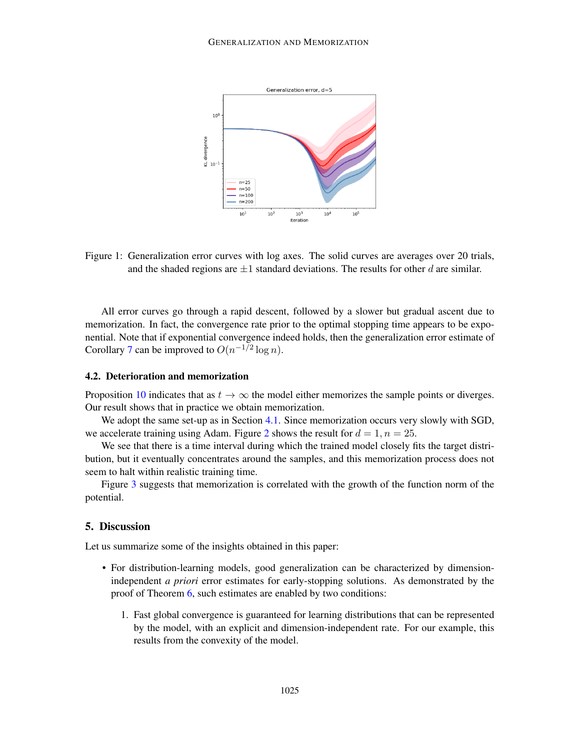

<span id="page-12-1"></span>Figure 1: Generalization error curves with log axes. The solid curves are averages over 20 trials, and the shaded regions are  $\pm 1$  standard deviations. The results for other d are similar.

All error curves go through a rapid descent, followed by a slower but gradual ascent due to memorization. In fact, the convergence rate prior to the optimal stopping time appears to be exponential. Note that if exponential convergence indeed holds, then the generalization error estimate of Corollary [7](#page-8-2) can be improved to  $O(n^{-1/2} \log n)$ .

### 4.2. Deterioration and memorization

Proposition [10](#page-9-2) indicates that as  $t \to \infty$  the model either memorizes the sample points or diverges. Our result shows that in practice we obtain memorization.

We adopt the same set-up as in Section [4.1.](#page-11-1) Since memorization occurs very slowly with SGD, we accelerate training using Adam. Figure [2](#page-13-0) shows the result for  $d = 1, n = 25$ .

We see that there is a time interval during which the trained model closely fits the target distribution, but it eventually concentrates around the samples, and this memorization process does not seem to halt within realistic training time.

Figure [3](#page-13-1) suggests that memorization is correlated with the growth of the function norm of the potential.

### <span id="page-12-0"></span>5. Discussion

Let us summarize some of the insights obtained in this paper:

- For distribution-learning models, good generalization can be characterized by dimensionindependent *a priori* error estimates for early-stopping solutions. As demonstrated by the proof of Theorem [6,](#page-8-0) such estimates are enabled by two conditions:
	- 1. Fast global convergence is guaranteed for learning distributions that can be represented by the model, with an explicit and dimension-independent rate. For our example, this results from the convexity of the model.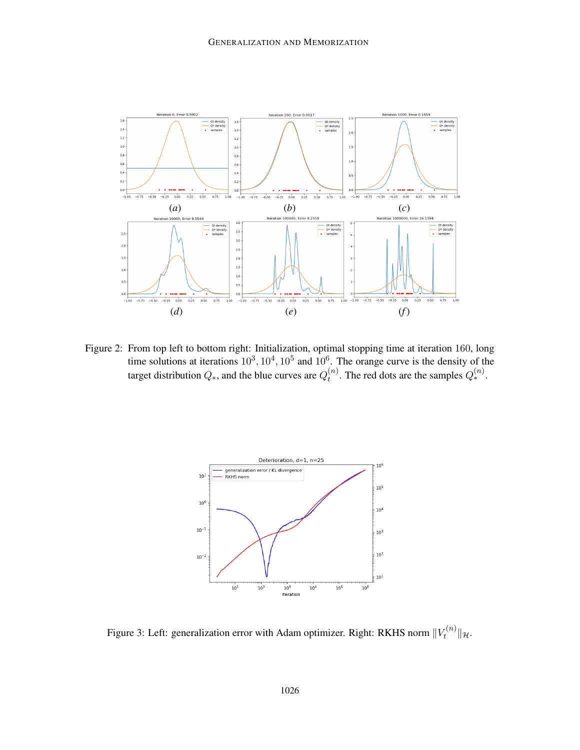

<span id="page-13-0"></span>Figure 2: From top left to bottom right: Initialization, optimal stopping time at iteration 160, long time solutions at iterations  $10^3, 10^4, 10^5$  and  $10^6$ . The orange curve is the density of the target distribution  $Q_*$ , and the blue curves are  $Q_t^{(n)}$  $t^{(n)}$ . The red dots are the samples  $Q_*^{(n)}$ .



<span id="page-13-1"></span>Figure 3: Left: generalization error with Adam optimizer. Right: RKHS norm  $||V_t^{(n)}||$  $t^{(n)}$   $||u$ .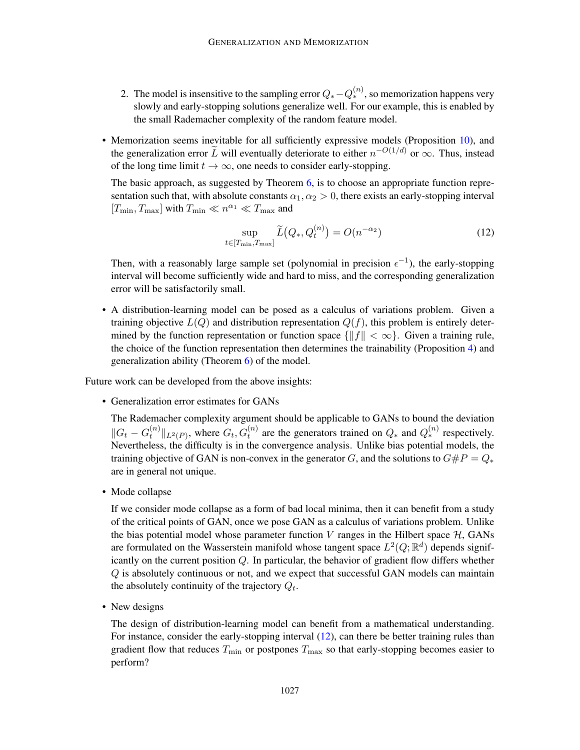- 2. The model is insensitive to the sampling error  $Q_* Q_*^{(n)}$ , so memorization happens very slowly and early-stopping solutions generalize well. For our example, this is enabled by the small Rademacher complexity of the random feature model.
- Memorization seems inevitable for all sufficiently expressive models (Proposition [10\)](#page-9-2), and the generalization error  $\tilde{L}$  will eventually deteriorate to either  $n^{-O(1/d)}$  or  $\infty$ . Thus, instead of the long time limit  $t \to \infty$ , one needs to consider early-stopping.

The basic approach, as suggested by Theorem [6,](#page-8-0) is to choose an appropriate function representation such that, with absolute constants  $\alpha_1, \alpha_2 > 0$ , there exists an early-stopping interval  $[T_{\min}, T_{\max}]$  with  $T_{\min} \ll n^{\alpha_1} \ll T_{\max}$  and

<span id="page-14-0"></span>
$$
\sup_{t \in [T_{\min}, T_{\max}]} \widetilde{L}(Q_*, Q_t^{(n)}) = O(n^{-\alpha_2})
$$
\n(12)

Then, with a reasonably large sample set (polynomial in precision  $\epsilon^{-1}$ ), the early-stopping interval will become sufficiently wide and hard to miss, and the corresponding generalization error will be satisfactorily small.

• A distribution-learning model can be posed as a calculus of variations problem. Given a training objective  $L(Q)$  and distribution representation  $Q(f)$ , this problem is entirely determined by the function representation or function space  $\{\|f\| < \infty\}$ . Given a training rule, the choice of the function representation then determines the trainability (Proposition [4\)](#page-7-2) and generalization ability (Theorem [6\)](#page-8-0) of the model.

Future work can be developed from the above insights:

• Generalization error estimates for GANs

The Rademacher complexity argument should be applicable to GANs to bound the deviation  $||G_t - G_t^{(n)}||$  $\|u_t^{(n)}\|_{L^2(P)}$ , where  $G_t, G_t^{(n)}$  are the generators trained on  $Q_*$  and  $Q_*^{(n)}$  respectively. Nevertheless, the difficulty is in the convergence analysis. Unlike bias potential models, the training objective of GAN is non-convex in the generator G, and the solutions to  $G\#P=Q_*$ are in general not unique.

• Mode collapse

If we consider mode collapse as a form of bad local minima, then it can benefit from a study of the critical points of GAN, once we pose GAN as a calculus of variations problem. Unlike the bias potential model whose parameter function  $V$  ranges in the Hilbert space  $H$ , GANs are formulated on the Wasserstein manifold whose tangent space  $L^2(Q;\mathbb{R}^d)$  depends significantly on the current position Q. In particular, the behavior of gradient flow differs whether Q is absolutely continuous or not, and we expect that successful GAN models can maintain the absolutely continuity of the trajectory  $Q_t$ .

• New designs

The design of distribution-learning model can benefit from a mathematical understanding. For instance, consider the early-stopping interval [\(12\)](#page-14-0), can there be better training rules than gradient flow that reduces  $T_{\text{min}}$  or postpones  $T_{\text{max}}$  so that early-stopping becomes easier to perform?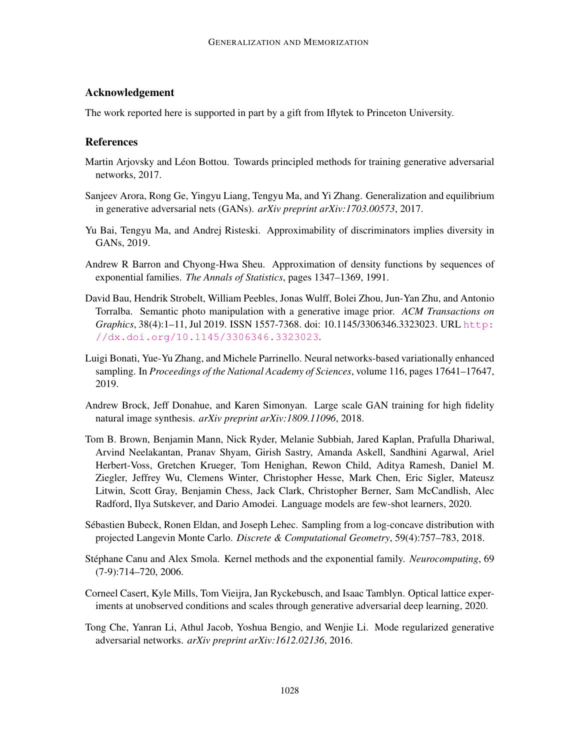# Acknowledgement

The work reported here is supported in part by a gift from Iflytek to Princeton University.

# References

- <span id="page-15-5"></span>Martin Arjovsky and Léon Bottou. Towards principled methods for training generative adversarial networks, 2017.
- <span id="page-15-6"></span>Sanjeev Arora, Rong Ge, Yingyu Liang, Tengyu Ma, and Yi Zhang. Generalization and equilibrium in generative adversarial nets (GANs). *arXiv preprint arXiv:1703.00573*, 2017.
- <span id="page-15-7"></span>Yu Bai, Tengyu Ma, and Andrej Risteski. Approximability of discriminators implies diversity in GANs, 2019.
- <span id="page-15-8"></span>Andrew R Barron and Chyong-Hwa Sheu. Approximation of density functions by sequences of exponential families. *The Annals of Statistics*, pages 1347–1369, 1991.
- <span id="page-15-2"></span>David Bau, Hendrik Strobelt, William Peebles, Jonas Wulff, Bolei Zhou, Jun-Yan Zhu, and Antonio Torralba. Semantic photo manipulation with a generative image prior. *ACM Transactions on Graphics*, 38(4):1–11, Jul 2019. ISSN 1557-7368. doi: 10.1145/3306346.3323023. URL [http:](http://dx.doi.org/10.1145/3306346.3323023) [//dx.doi.org/10.1145/3306346.3323023](http://dx.doi.org/10.1145/3306346.3323023).
- <span id="page-15-10"></span>Luigi Bonati, Yue-Yu Zhang, and Michele Parrinello. Neural networks-based variationally enhanced sampling. In *Proceedings of the National Academy of Sciences*, volume 116, pages 17641–17647, 2019.
- <span id="page-15-0"></span>Andrew Brock, Jeff Donahue, and Karen Simonyan. Large scale GAN training for high fidelity natural image synthesis. *arXiv preprint arXiv:1809.11096*, 2018.
- <span id="page-15-1"></span>Tom B. Brown, Benjamin Mann, Nick Ryder, Melanie Subbiah, Jared Kaplan, Prafulla Dhariwal, Arvind Neelakantan, Pranav Shyam, Girish Sastry, Amanda Askell, Sandhini Agarwal, Ariel Herbert-Voss, Gretchen Krueger, Tom Henighan, Rewon Child, Aditya Ramesh, Daniel M. Ziegler, Jeffrey Wu, Clemens Winter, Christopher Hesse, Mark Chen, Eric Sigler, Mateusz Litwin, Scott Gray, Benjamin Chess, Jack Clark, Christopher Berner, Sam McCandlish, Alec Radford, Ilya Sutskever, and Dario Amodei. Language models are few-shot learners, 2020.
- <span id="page-15-11"></span>Sebastien Bubeck, Ronen Eldan, and Joseph Lehec. Sampling from a log-concave distribution with ´ projected Langevin Monte Carlo. *Discrete & Computational Geometry*, 59(4):757–783, 2018.
- <span id="page-15-9"></span>Stéphane Canu and Alex Smola. Kernel methods and the exponential family. *Neurocomputing*, 69 (7-9):714–720, 2006.
- <span id="page-15-3"></span>Corneel Casert, Kyle Mills, Tom Vieijra, Jan Ryckebusch, and Isaac Tamblyn. Optical lattice experiments at unobserved conditions and scales through generative adversarial deep learning, 2020.
- <span id="page-15-4"></span>Tong Che, Yanran Li, Athul Jacob, Yoshua Bengio, and Wenjie Li. Mode regularized generative adversarial networks. *arXiv preprint arXiv:1612.02136*, 2016.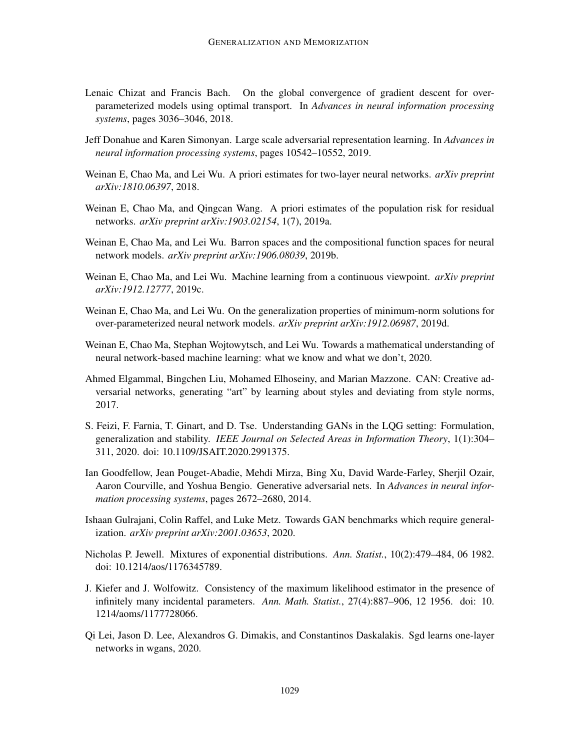- <span id="page-16-10"></span>Lenaic Chizat and Francis Bach. On the global convergence of gradient descent for overparameterized models using optimal transport. In *Advances in neural information processing systems*, pages 3036–3046, 2018.
- <span id="page-16-3"></span>Jeff Donahue and Karen Simonyan. Large scale adversarial representation learning. In *Advances in neural information processing systems*, pages 10542–10552, 2019.
- <span id="page-16-11"></span>Weinan E, Chao Ma, and Lei Wu. A priori estimates for two-layer neural networks. *arXiv preprint arXiv:1810.06397*, 2018.
- <span id="page-16-12"></span>Weinan E, Chao Ma, and Qingcan Wang. A priori estimates of the population risk for residual networks. *arXiv preprint arXiv:1903.02154*, 1(7), 2019a.
- <span id="page-16-9"></span>Weinan E, Chao Ma, and Lei Wu. Barron spaces and the compositional function spaces for neural network models. *arXiv preprint arXiv:1906.08039*, 2019b.
- <span id="page-16-7"></span>Weinan E, Chao Ma, and Lei Wu. Machine learning from a continuous viewpoint. *arXiv preprint arXiv:1912.12777*, 2019c.
- <span id="page-16-2"></span>Weinan E, Chao Ma, and Lei Wu. On the generalization properties of minimum-norm solutions for over-parameterized neural network models. *arXiv preprint arXiv:1912.06987*, 2019d.
- <span id="page-16-8"></span>Weinan E, Chao Ma, Stephan Wojtowytsch, and Lei Wu. Towards a mathematical understanding of neural network-based machine learning: what we know and what we don't, 2020.
- <span id="page-16-0"></span>Ahmed Elgammal, Bingchen Liu, Mohamed Elhoseiny, and Marian Mazzone. CAN: Creative adversarial networks, generating "art" by learning about styles and deviating from style norms, 2017.
- <span id="page-16-6"></span>S. Feizi, F. Farnia, T. Ginart, and D. Tse. Understanding GANs in the LQG setting: Formulation, generalization and stability. *IEEE Journal on Selected Areas in Information Theory*, 1(1):304– 311, 2020. doi: 10.1109/JSAIT.2020.2991375.
- <span id="page-16-1"></span>Ian Goodfellow, Jean Pouget-Abadie, Mehdi Mirza, Bing Xu, David Warde-Farley, Sherjil Ozair, Aaron Courville, and Yoshua Bengio. Generative adversarial nets. In *Advances in neural information processing systems*, pages 2672–2680, 2014.
- <span id="page-16-4"></span>Ishaan Gulrajani, Colin Raffel, and Luke Metz. Towards GAN benchmarks which require generalization. *arXiv preprint arXiv:2001.03653*, 2020.
- <span id="page-16-14"></span>Nicholas P. Jewell. Mixtures of exponential distributions. *Ann. Statist.*, 10(2):479–484, 06 1982. doi: 10.1214/aos/1176345789.
- <span id="page-16-13"></span>J. Kiefer and J. Wolfowitz. Consistency of the maximum likelihood estimator in the presence of infinitely many incidental parameters. *Ann. Math. Statist.*, 27(4):887–906, 12 1956. doi: 10. 1214/aoms/1177728066.
- <span id="page-16-5"></span>Qi Lei, Jason D. Lee, Alexandros G. Dimakis, and Constantinos Daskalakis. Sgd learns one-layer networks in wgans, 2020.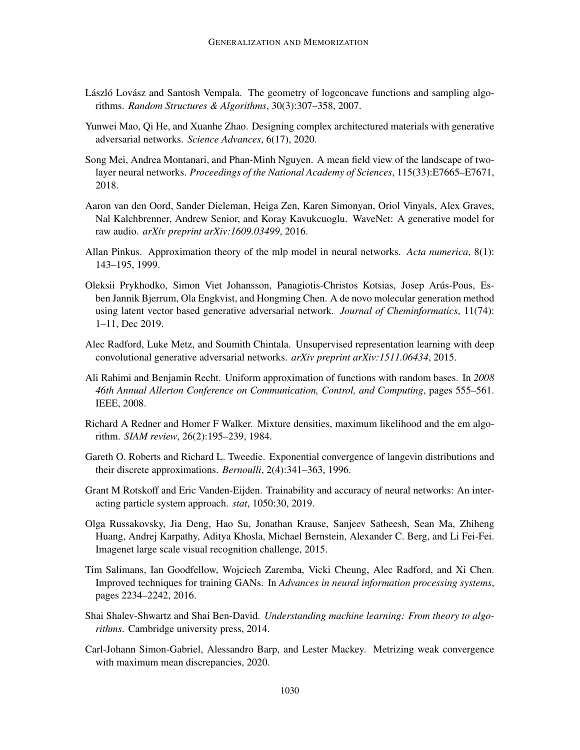- <span id="page-17-9"></span>László Lovász and Santosh Vempala. The geometry of logconcave functions and sampling algorithms. *Random Structures & Algorithms*, 30(3):307–358, 2007.
- <span id="page-17-2"></span>Yunwei Mao, Qi He, and Xuanhe Zhao. Designing complex architectured materials with generative adversarial networks. *Science Advances*, 6(17), 2020.
- <span id="page-17-11"></span>Song Mei, Andrea Montanari, and Phan-Minh Nguyen. A mean field view of the landscape of twolayer neural networks. *Proceedings of the National Academy of Sciences*, 115(33):E7665–E7671, 2018.
- <span id="page-17-0"></span>Aaron van den Oord, Sander Dieleman, Heiga Zen, Karen Simonyan, Oriol Vinyals, Alex Graves, Nal Kalchbrenner, Andrew Senior, and Koray Kavukcuoglu. WaveNet: A generative model for raw audio. *arXiv preprint arXiv:1609.03499*, 2016.
- <span id="page-17-12"></span>Allan Pinkus. Approximation theory of the mlp model in neural networks. *Acta numerica*, 8(1): 143–195, 1999.
- <span id="page-17-1"></span>Oleksii Prykhodko, Simon Viet Johansson, Panagiotis-Christos Kotsias, Josep Arus-Pous, Es- ´ ben Jannik Bjerrum, Ola Engkvist, and Hongming Chen. A de novo molecular generation method using latent vector based generative adversarial network. *Journal of Cheminformatics*, 11(74): 1–11, Dec 2019.
- <span id="page-17-5"></span>Alec Radford, Luke Metz, and Soumith Chintala. Unsupervised representation learning with deep convolutional generative adversarial networks. *arXiv preprint arXiv:1511.06434*, 2015.
- <span id="page-17-10"></span>Ali Rahimi and Benjamin Recht. Uniform approximation of functions with random bases. In *2008 46th Annual Allerton Conference on Communication, Control, and Computing*, pages 555–561. IEEE, 2008.
- <span id="page-17-7"></span>Richard A Redner and Homer F Walker. Mixture densities, maximum likelihood and the em algorithm. *SIAM review*, 26(2):195–239, 1984.
- <span id="page-17-8"></span>Gareth O. Roberts and Richard L. Tweedie. Exponential convergence of langevin distributions and their discrete approximations. *Bernoulli*, 2(4):341–363, 1996.
- <span id="page-17-6"></span>Grant M Rotskoff and Eric Vanden-Eijden. Trainability and accuracy of neural networks: An interacting particle system approach. *stat*, 1050:30, 2019.
- <span id="page-17-3"></span>Olga Russakovsky, Jia Deng, Hao Su, Jonathan Krause, Sanjeev Satheesh, Sean Ma, Zhiheng Huang, Andrej Karpathy, Aditya Khosla, Michael Bernstein, Alexander C. Berg, and Li Fei-Fei. Imagenet large scale visual recognition challenge, 2015.
- <span id="page-17-4"></span>Tim Salimans, Ian Goodfellow, Wojciech Zaremba, Vicki Cheung, Alec Radford, and Xi Chen. Improved techniques for training GANs. In *Advances in neural information processing systems*, pages 2234–2242, 2016.
- <span id="page-17-13"></span>Shai Shalev-Shwartz and Shai Ben-David. *Understanding machine learning: From theory to algorithms*. Cambridge university press, 2014.
- <span id="page-17-14"></span>Carl-Johann Simon-Gabriel, Alessandro Barp, and Lester Mackey. Metrizing weak convergence with maximum mean discrepancies, 2020.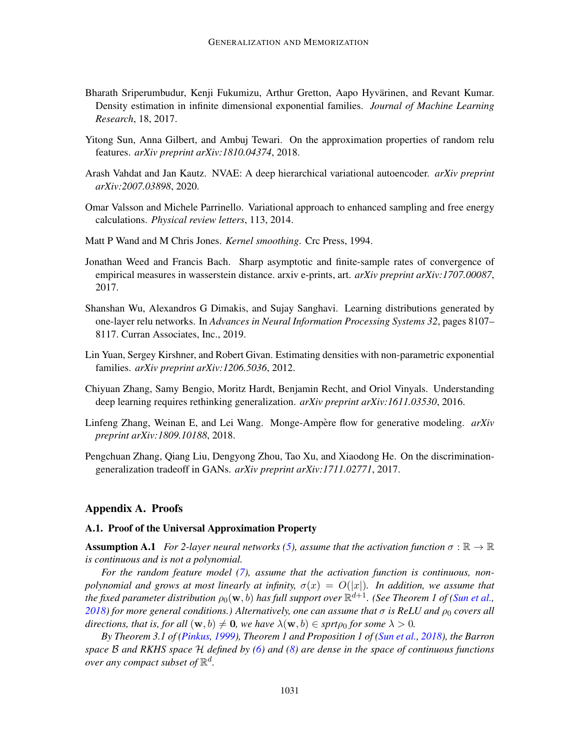- <span id="page-18-9"></span>Bharath Sriperumbudur, Kenji Fukumizu, Arthur Gretton, Aapo Hyvärinen, and Revant Kumar. Density estimation in infinite dimensional exponential families. *Journal of Machine Learning Research*, 18, 2017.
- <span id="page-18-12"></span>Yitong Sun, Anna Gilbert, and Ambuj Tewari. On the approximation properties of random relu features. *arXiv preprint arXiv:1810.04374*, 2018.
- <span id="page-18-2"></span>Arash Vahdat and Jan Kautz. NVAE: A deep hierarchical variational autoencoder. *arXiv preprint arXiv:2007.03898*, 2020.
- <span id="page-18-10"></span>Omar Valsson and Michele Parrinello. Variational approach to enhanced sampling and free energy calculations. *Physical review letters*, 113, 2014.
- <span id="page-18-7"></span>Matt P Wand and M Chris Jones. *Kernel smoothing*. Crc Press, 1994.
- <span id="page-18-6"></span>Jonathan Weed and Francis Bach. Sharp asymptotic and finite-sample rates of convergence of empirical measures in wasserstein distance. arxiv e-prints, art. *arXiv preprint arXiv:1707.00087*, 2017.
- <span id="page-18-5"></span>Shanshan Wu, Alexandros G Dimakis, and Sujay Sanghavi. Learning distributions generated by one-layer relu networks. In *Advances in Neural Information Processing Systems 32*, pages 8107– 8117. Curran Associates, Inc., 2019.
- <span id="page-18-8"></span>Lin Yuan, Sergey Kirshner, and Robert Givan. Estimating densities with non-parametric exponential families. *arXiv preprint arXiv:1206.5036*, 2012.
- <span id="page-18-1"></span>Chiyuan Zhang, Samy Bengio, Moritz Hardt, Benjamin Recht, and Oriol Vinyals. Understanding deep learning requires rethinking generalization. *arXiv preprint arXiv:1611.03530*, 2016.
- <span id="page-18-0"></span>Linfeng Zhang, Weinan E, and Lei Wang. Monge-Ampère flow for generative modeling.  $arXiv$ *preprint arXiv:1809.10188*, 2018.
- <span id="page-18-4"></span>Pengchuan Zhang, Qiang Liu, Dengyong Zhou, Tao Xu, and Xiaodong He. On the discriminationgeneralization tradeoff in GANs. *arXiv preprint arXiv:1711.02771*, 2017.

### <span id="page-18-3"></span>Appendix A. Proofs

#### A.1. Proof of the Universal Approximation Property

<span id="page-18-11"></span>**Assumption A.1** *For 2-layer neural networks [\(5\)](#page-4-0), assume that the activation function*  $\sigma : \mathbb{R} \to \mathbb{R}$ *is continuous and is not a polynomial.*

*For the random feature model [\(7\)](#page-4-2), assume that the activation function is continuous, nonpolynomial and grows at most linearly at infinity,*  $\sigma(x) = O(|x|)$ *. In addition, we assume that* the fixed parameter distribution  $\rho_0({\bf w},b)$  has full support over  $\mathbb{R}^{d+1}$ . (See Theorem 1 of [\(Sun et al.,](#page-18-12)  $2018$ *)* for more general conditions.) Alternatively, one can assume that  $\sigma$  is ReLU and  $\rho_0$  covers all *directions, that is, for all*  $(\mathbf{w}, b) \neq \mathbf{0}$ *, we have*  $\lambda(\mathbf{w}, b) \in \text{sprt}\rho_0$  *for some*  $\lambda > 0$ *.* 

*By Theorem 3.1 of [\(Pinkus,](#page-17-12) [1999\)](#page-17-12), Theorem 1 and Proposition 1 of [\(Sun et al.,](#page-18-12) [2018\)](#page-18-12), the Barron space* B *and RKHS space* H *defined by [\(6\)](#page-4-4) and [\(8\)](#page-4-3) are dense in the space of continuous functions* over any compact subset of  $\mathbb{R}^d$ .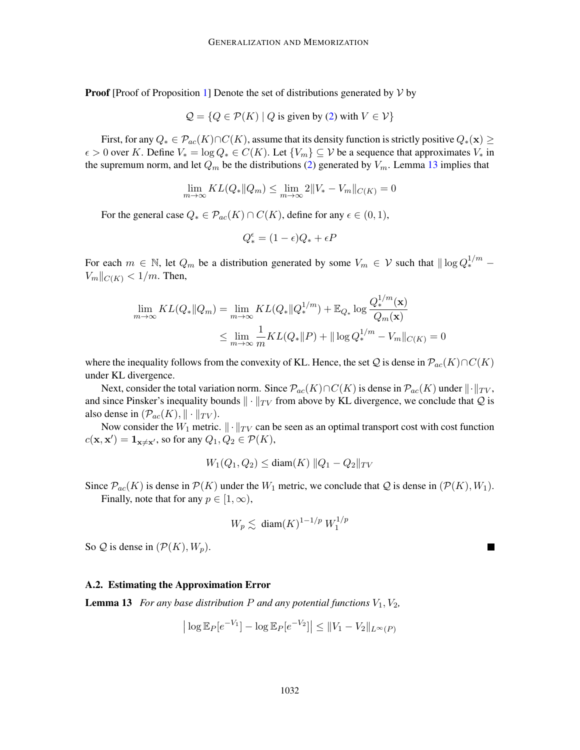**Proof** [Proof of Proposition [1\]](#page-5-0) Denote the set of distributions generated by  $V$  by

$$
Q = \{Q \in \mathcal{P}(K) \mid Q \text{ is given by (2) with } V \in \mathcal{V}\}\
$$

First, for any  $Q_* \in \mathcal{P}_{ac}(K) \cap C(K)$ , assume that its density function is strictly positive  $Q_*(\mathbf{x}) \geq 0$  $\epsilon > 0$  over K. Define  $V_* = \log Q_* \in C(K)$ . Let  $\{V_m\} \subseteq V$  be a sequence that approximates  $V_*$  in the supremum norm, and let  $Q_m$  be the distributions [\(2\)](#page-3-1) generated by  $V_m$ . Lemma [13](#page-19-0) implies that

$$
\lim_{m \to \infty} KL(Q_* \| Q_m) \le \lim_{m \to \infty} 2 \| V_* - V_m \|_{C(K)} = 0
$$

For the general case  $Q_* \in \mathcal{P}_{ac}(K) \cap C(K)$ , define for any  $\epsilon \in (0,1)$ ,

$$
Q_*^\epsilon = (1-\epsilon)Q_* + \epsilon P
$$

For each  $m \in \mathbb{N}$ , let  $Q_m$  be a distribution generated by some  $V_m \in \mathcal{V}$  such that  $\|\log Q_*^{1/m} V_m||_{C(K)} < 1/m$ . Then,

$$
\lim_{m \to \infty} KL(Q_* \| Q_m) = \lim_{m \to \infty} KL(Q_* \| Q_*^{1/m}) + \mathbb{E}_{Q_*} \log \frac{Q_*^{1/m}(\mathbf{x})}{Q_m(\mathbf{x})}
$$
  

$$
\leq \lim_{m \to \infty} \frac{1}{m} KL(Q_* \| P) + \| \log Q_*^{1/m} - V_m \|_{C(K)} = 0
$$

where the inequality follows from the convexity of KL. Hence, the set  $Q$  is dense in  $\mathcal{P}_{ac}(K) \cap C(K)$ under KL divergence.

Next, consider the total variation norm. Since  $\mathcal{P}_{ac}(K) \cap C(K)$  is dense in  $\mathcal{P}_{ac}(K)$  under  $\|\cdot\|_{TV}$ , and since Pinsker's inequality bounds  $\|\cdot\|_{TV}$  from above by KL divergence, we conclude that Q is also dense in  $(\mathcal{P}_{ac}(K), \|\cdot\|_{TV})$ .

Now consider the  $W_1$  metric.  $\|\cdot\|_{TV}$  can be seen as an optimal transport cost with cost function  $c(\mathbf{x}, \mathbf{x}') = \mathbf{1}_{\mathbf{x} \neq \mathbf{x}'},$  so for any  $Q_1, Q_2 \in \mathcal{P}(K)$ ,

$$
W_1(Q_1, Q_2) \le \text{diam}(K) \|Q_1 - Q_2\|_{TV}
$$

Since  $\mathcal{P}_{ac}(K)$  is dense in  $\mathcal{P}(K)$  under the  $W_1$  metric, we conclude that Q is dense in  $(\mathcal{P}(K), W_1)$ . Finally, note that for any  $p \in [1, \infty)$ ,

$$
W_p \lesssim \text{ diam}(K)^{1-1/p} W_1^{1/p}
$$

So  $Q$  is dense in  $(\mathcal{P}(K), W_p)$ .

#### A.2. Estimating the Approximation Error

<span id="page-19-0"></span>**Lemma 13** *For any base distribution P and any potential functions*  $V_1$ ,  $V_2$ ,

$$
\left| \log \mathbb{E}_P[e^{-V_1}] - \log \mathbb{E}_P[e^{-V_2}] \right| \le \|V_1 - V_2\|_{L^{\infty}(P)}
$$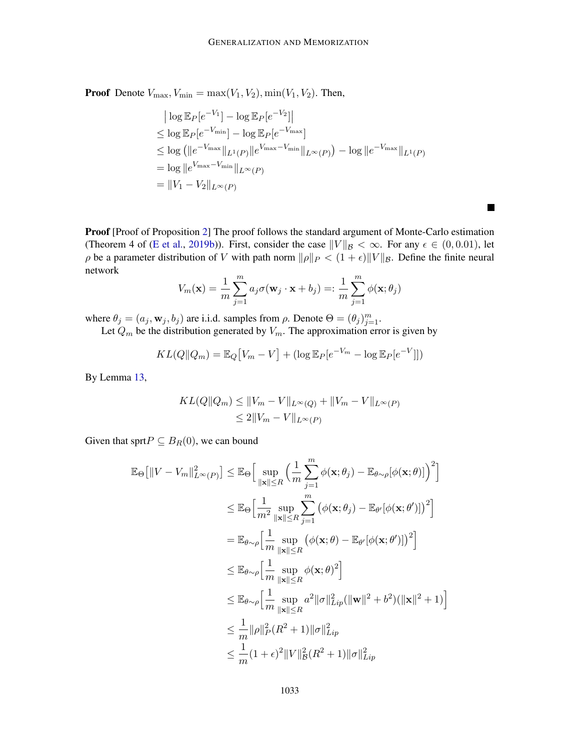**Proof** Denote  $V_{\text{max}}$ ,  $V_{\text{min}} = \max(V_1, V_2)$ ,  $\min(V_1, V_2)$ . Then,

$$
|\log \mathbb{E}_{P}[e^{-V_{1}}] - \log \mathbb{E}_{P}[e^{-V_{2}}]|
$$
  
\n
$$
\leq \log \mathbb{E}_{P}[e^{-V_{\min}}] - \log \mathbb{E}_{P}[e^{-V_{\max}}]
$$
  
\n
$$
\leq \log (||e^{-V_{\max}}||_{L^{1}(P)}||e^{V_{\max}-V_{\min}}||_{L^{\infty}(P)}) - \log ||e^{-V_{\max}}||_{L^{1}(P)}
$$
  
\n
$$
= \log ||e^{V_{\max}-V_{\min}}||_{L^{\infty}(P)}
$$
  
\n
$$
= ||V_{1} - V_{2}||_{L^{\infty}(P)}
$$

 $\blacksquare$ 

**Proof** [Proof of Proposition [2\]](#page-5-2) The proof follows the standard argument of Monte-Carlo estimation (Theorem 4 of [\(E et al.,](#page-16-9) [2019b\)](#page-16-9)). First, consider the case  $||V||_B < \infty$ . For any  $\epsilon \in (0, 0.01)$ , let  $\rho$  be a parameter distribution of V with path norm  $\|\rho\|_P < (1 + \epsilon)\|V\|_B$ . Define the finite neural network

$$
V_m(\mathbf{x}) = \frac{1}{m} \sum_{j=1}^m a_j \sigma(\mathbf{w}_j \cdot \mathbf{x} + b_j) =: \frac{1}{m} \sum_{j=1}^m \phi(\mathbf{x}; \theta_j)
$$

where  $\theta_j = (a_j, \mathbf{w}_j, b_j)$  are i.i.d. samples from  $\rho$ . Denote  $\Theta = (\theta_j)_{j=1}^m$ .

Let  $Q_m$  be the distribution generated by  $V_m$ . The approximation error is given by

$$
KL(Q||Q_m) = \mathbb{E}_Q[V_m - V] + (\log \mathbb{E}_P[e^{-V_m} - \log \mathbb{E}_P[e^{-V}]])
$$

By Lemma [13,](#page-19-0)

$$
KL(Q||Q_m) \le ||V_m - V||_{L^{\infty}(Q)} + ||V_m - V||_{L^{\infty}(P)}
$$
  
\n
$$
\le 2||V_m - V||_{L^{\infty}(P)}
$$

Given that sprt $P \subseteq B_R(0)$ , we can bound

$$
\mathbb{E}_{\Theta}[\|V - V_m\|_{L^{\infty}(P)}^2] \leq \mathbb{E}_{\Theta}\Big[\sup_{\|\mathbf{x}\| \leq R} \Big(\frac{1}{m} \sum_{j=1}^m \phi(\mathbf{x}; \theta_j) - \mathbb{E}_{\theta \sim \rho}[\phi(\mathbf{x}; \theta)]\Big)^2\Big]
$$
  
\n
$$
\leq \mathbb{E}_{\Theta}\Big[\frac{1}{m^2} \sup_{\|\mathbf{x}\| \leq R} \sum_{j=1}^m \big(\phi(\mathbf{x}; \theta_j) - \mathbb{E}_{\theta'}[\phi(\mathbf{x}; \theta')]\big)^2\Big]
$$
  
\n
$$
= \mathbb{E}_{\theta \sim \rho} \Big[\frac{1}{m} \sup_{\|\mathbf{x}\| \leq R} \big(\phi(\mathbf{x}; \theta) - \mathbb{E}_{\theta'}[\phi(\mathbf{x}; \theta')]\big)^2\Big]
$$
  
\n
$$
\leq \mathbb{E}_{\theta \sim \rho} \Big[\frac{1}{m} \sup_{\|\mathbf{x}\| \leq R} \phi(\mathbf{x}; \theta)^2\Big]
$$
  
\n
$$
\leq \mathbb{E}_{\theta \sim \rho} \Big[\frac{1}{m} \sup_{\|\mathbf{x}\| \leq R} a^2 \|\sigma\|_{Lip}^2 (\|\mathbf{w}\|^2 + b^2)(\|\mathbf{x}\|^2 + 1)\Big]
$$
  
\n
$$
\leq \frac{1}{m} \|\rho\|_P^2 (R^2 + 1) \|\sigma\|_{Lip}^2
$$
  
\n
$$
\leq \frac{1}{m} (1 + \epsilon)^2 \|V\|_B^2 (R^2 + 1) \|\sigma\|_{Lip}^2
$$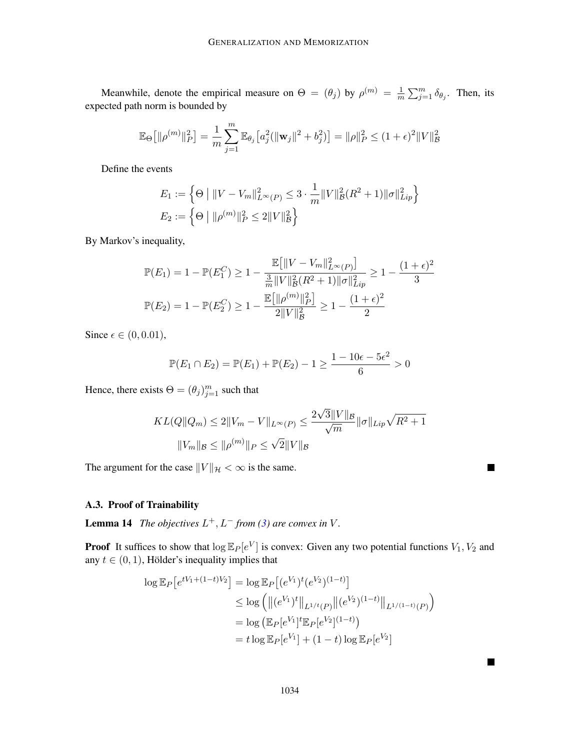Meanwhile, denote the empirical measure on  $\Theta = (\theta_j)$  by  $\rho^{(m)} = \frac{1}{m}$  $\frac{1}{m} \sum_{j=1}^{m} \delta_{\theta_j}$ . Then, its expected path norm is bounded by

$$
\mathbb{E}_{\Theta}\big[\|\rho^{(m)}\|_{P}^{2}\big] = \frac{1}{m} \sum_{j=1}^{m} \mathbb{E}_{\theta_{j}}\big[a_{j}^{2}(\|\mathbf{w}_{j}\|^{2} + b_{j}^{2})\big] = \|\rho\|_{P}^{2} \leq (1 + \epsilon)^{2} \|V\|_{B}^{2}
$$

Define the events

$$
E_1 := \left\{ \Theta \mid ||V - V_m||_{L^{\infty}(P)}^2 \le 3 \cdot \frac{1}{m} ||V||_B^2 (R^2 + 1) ||\sigma||_{Lip}^2 \right\}
$$
  

$$
E_2 := \left\{ \Theta \mid ||\rho^{(m)}||_P^2 \le 2||V||_B^2 \right\}
$$

By Markov's inequality,

$$
\mathbb{P}(E_1) = 1 - \mathbb{P}(E_1^C) \ge 1 - \frac{\mathbb{E}\left[\|V - V_m\|_{L^\infty(P)}^2\right]}{\frac{3}{m}\|V\|_{\mathcal{B}}^2(R^2 + 1)\|\sigma\|_{Lip}^2} \ge 1 - \frac{(1+\epsilon)^2}{3}
$$

$$
\mathbb{P}(E_2) = 1 - \mathbb{P}(E_2^C) \ge 1 - \frac{\mathbb{E}\left[\|\rho^{(m)}\|_P^2\right]}{2\|V\|_{\mathcal{B}}^2} \ge 1 - \frac{(1+\epsilon)^2}{2}
$$

Since  $\epsilon \in (0, 0.01)$ ,

$$
\mathbb{P}(E_1 \cap E_2) = \mathbb{P}(E_1) + \mathbb{P}(E_2) - 1 \ge \frac{1 - 10\epsilon - 5\epsilon^2}{6} > 0
$$

Hence, there exists  $\Theta = (\theta_j)_{j=1}^m$  such that

$$
KL(Q||Q_m) \le 2||V_m - V||_{L^{\infty}(P)} \le \frac{2\sqrt{3}||V||_{\mathcal{B}}}{\sqrt{m}}||\sigma||_{Lip}\sqrt{R^2 + 1}
$$

$$
||V_m||_{\mathcal{B}} \le ||\rho^{(m)}||_P \le \sqrt{2}||V||_{\mathcal{B}}
$$

 $\blacksquare$ 

П

The argument for the case  $||V||_{\mathcal{H}} < \infty$  is the same.

# A.3. Proof of Trainability

<span id="page-21-0"></span>**Lemma 14** The objectives  $L^+$ ,  $L^-$  from [\(3\)](#page-3-2) are convex in V.

**Proof** It suffices to show that  $\log \mathbb{E}_P[e^V]$  is convex: Given any two potential functions  $V_1, V_2$  and any  $t \in (0, 1)$ , Hölder's inequality implies that

$$
\log \mathbb{E}_P[e^{tV_1 + (1-t)V_2}] = \log \mathbb{E}_P[(e^{V_1})^t (e^{V_2})^{(1-t)}]
$$
  
\n
$$
\leq \log \left( \left\| (e^{V_1})^t \right\|_{L^{1/t}(P)} \left\| (e^{V_2})^{(1-t)} \right\|_{L^{1/(1-t)}(P)} \right)
$$
  
\n
$$
= \log \left( \mathbb{E}_P[e^{V_1}]^t \mathbb{E}_P[e^{V_2}]^{(1-t)} \right)
$$
  
\n
$$
= t \log \mathbb{E}_P[e^{V_1}] + (1-t) \log \mathbb{E}_P[e^{V_2}]
$$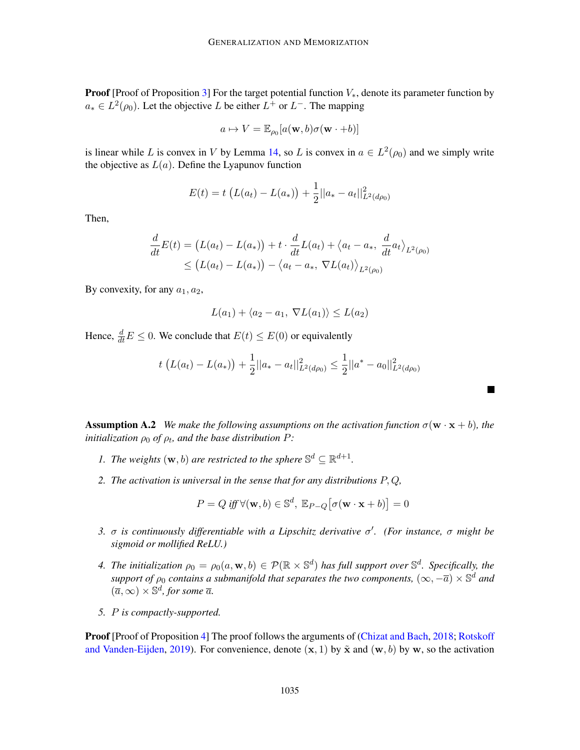**Proof** [Proof of Proposition [3\]](#page-7-1) For the target potential function  $V_*$ , denote its parameter function by  $a_* \in L^2(\rho_0)$ . Let the objective L be either  $L^+$  or  $L^-$ . The mapping

$$
a \mapsto V = \mathbb{E}_{\rho_0}[a(\mathbf{w}, b)\sigma(\mathbf{w} \cdot + b)]
$$

is linear while L is convex in V by Lemma [14,](#page-21-0) so L is convex in  $a \in L^2(\rho_0)$  and we simply write the objective as  $L(a)$ . Define the Lyapunov function

$$
E(t) = t \left( L(a_t) - L(a_*) \right) + \frac{1}{2} ||a_* - a_t||^2_{L^2(d\rho_0)}
$$

Then,

$$
\frac{d}{dt}E(t) = (L(a_t) - L(a_*)) + t \cdot \frac{d}{dt}L(a_t) + \langle a_t - a_*, \frac{d}{dt}a_t \rangle_{L^2(\rho_0)} \le (L(a_t) - L(a_*)) - \langle a_t - a_*, \nabla L(a_t) \rangle_{L^2(\rho_0)}
$$

By convexity, for any  $a_1, a_2$ ,

$$
L(a_1) + \langle a_2 - a_1, \, \nabla L(a_1) \rangle \le L(a_2)
$$

Hence,  $\frac{d}{dt}E \leq 0$ . We conclude that  $E(t) \leq E(0)$  or equivalently

$$
t\left(L(a_t) - L(a_*)\right) + \frac{1}{2}||a_* - a_t||^2_{L^2(d\rho_0)} \leq \frac{1}{2}||a^* - a_0||^2_{L^2(d\rho_0)}
$$

 $\blacksquare$ 

<span id="page-22-0"></span>**Assumption A.2** *We make the following assumptions on the activation function*  $\sigma(\mathbf{w} \cdot \mathbf{x} + b)$ *, the initialization*  $\rho_0$  *of*  $\rho_t$ *, and the base distribution*  $P$ *:* 

- *1.* The weights  $(\mathbf{w}, b)$  are restricted to the sphere  $\mathbb{S}^d \subseteq \mathbb{R}^{d+1}$ .
- *2. The activation is universal in the sense that for any distributions* P, Q*,*

$$
P = Q \text{ iff } \forall (\mathbf{w}, b) \in \mathbb{S}^d, \ \mathbb{E}_{P-Q} \big[ \sigma(\mathbf{w} \cdot \mathbf{x} + b) \big] = 0
$$

- *3.* σ *is continuously differentiable with a Lipschitz derivative* σ 0 *. (For instance,* σ *might be sigmoid or mollified ReLU.)*
- 4. The initialization  $\rho_0 = \rho_0(a, \mathbf{w}, b) \in \mathcal{P}(\mathbb{R} \times \mathbb{S}^d)$  has full support over  $\mathbb{S}^d$ . Specifically, the support of  $\rho_0$  contains a submanifold that separates the two components,  $(\infty, -\overline{a}) \times \mathbb{S}^d$  and  $(\overline{a}, \infty) \times \mathbb{S}^d$ , for some  $\overline{a}$ .
- *5.* P *is compactly-supported.*

Proof [Proof of Proposition [4\]](#page-7-2) The proof follows the arguments of [\(Chizat and Bach,](#page-16-10) [2018;](#page-16-10) [Rotskoff](#page-17-6) [and Vanden-Eijden,](#page-17-6) [2019\)](#page-17-6). For convenience, denote  $(x, 1)$  by  $\tilde{x}$  and  $(w, b)$  by w, so the activation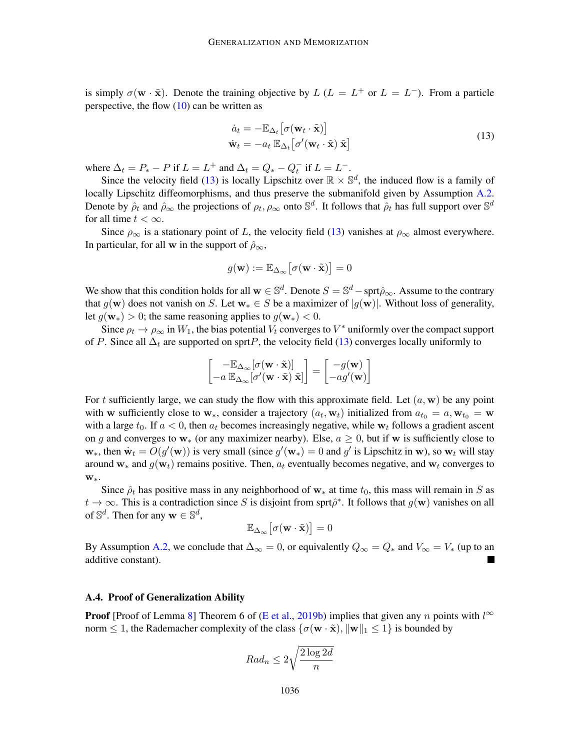is simply  $\sigma(\mathbf{w} \cdot \tilde{\mathbf{x}})$ . Denote the training objective by  $L (L = L^+ \text{ or } L = L^-)$ . From a particle perspective, the flow  $(10)$  can be written as

<span id="page-23-0"></span>
$$
\dot{a}_t = -\mathbb{E}_{\Delta_t} \left[ \sigma(\mathbf{w}_t \cdot \tilde{\mathbf{x}}) \right]
$$
  
\n
$$
\dot{\mathbf{w}}_t = -a_t \mathbb{E}_{\Delta_t} \left[ \sigma'(\mathbf{w}_t \cdot \tilde{\mathbf{x}}) \tilde{\mathbf{x}} \right]
$$
\n(13)

where  $\Delta_t = P_* - P$  if  $L = L^+$  and  $\Delta_t = Q_* - Q_t^-$  if  $L = L^-$ .

Since the velocity field [\(13\)](#page-23-0) is locally Lipschitz over  $\mathbb{R} \times \mathbb{S}^d$ , the induced flow is a family of locally Lipschitz diffeomorphisms, and thus preserve the submanifold given by Assumption [A.2.](#page-22-0) Denote by  $\hat{\rho}_t$  and  $\hat{\rho}_\infty$  the projections of  $\rho_t, \rho_\infty$  onto  $\mathbb{S}^d$ . It follows that  $\hat{\rho}_t$  has full support over  $\mathbb{S}^d$ for all time  $t < \infty$ .

Since  $\rho_{\infty}$  is a stationary point of L, the velocity field [\(13\)](#page-23-0) vanishes at  $\rho_{\infty}$  almost everywhere. In particular, for all w in the support of  $\hat{\rho}_{\infty}$ ,

$$
g(\mathbf{w}) := \mathbb{E}_{\Delta_{\infty}} \big[ \sigma(\mathbf{w} \cdot \tilde{\mathbf{x}}) \big] = 0
$$

We show that this condition holds for all  $w \in \mathbb{S}^d$ . Denote  $S = \mathbb{S}^d$  – sprt $\hat{\rho}_{\infty}$ . Assume to the contrary that  $g(\mathbf{w})$  does not vanish on S. Let  $\mathbf{w}_* \in S$  be a maximizer of  $|g(\mathbf{w})|$ . Without loss of generality, let  $g(\mathbf{w}_*) > 0$ ; the same reasoning applies to  $g(\mathbf{w}_*) < 0$ .

Since  $\rho_t \to \rho_\infty$  in  $W_1$ , the bias potential  $V_t$  converges to  $V^*$  uniformly over the compact support of P. Since all  $\Delta_t$  are supported on sprtP, the velocity field [\(13\)](#page-23-0) converges locally uniformly to

$$
\begin{bmatrix} -\mathbb{E}_{\Delta_{\infty}}[\sigma(\mathbf{w}\cdot \tilde{\mathbf{x}})] \\ -a~\mathbb{E}_{\Delta_{\infty}}[\sigma'(\mathbf{w}\cdot \tilde{\mathbf{x}})~\tilde{\mathbf{x}}] \end{bmatrix} = \begin{bmatrix} -g(\mathbf{w}) \\ -ag'(\mathbf{w}) \end{bmatrix}
$$

For t sufficiently large, we can study the flow with this approximate field. Let  $(a, w)$  be any point with w sufficiently close to w<sub>\*</sub>, consider a trajectory  $(a_t, w_t)$  initialized from  $a_{t_0} = a, w_{t_0} = w$ with a large  $t_0$ . If  $a < 0$ , then  $a_t$  becomes increasingly negative, while  $w_t$  follows a gradient ascent on g and converges to  $w_*($  (or any maximizer nearby). Else,  $a \ge 0$ , but if w is sufficiently close to  $w_*$ , then  $\dot{w}_t = O(g'(\mathbf{w}))$  is very small (since  $g'(\mathbf{w}_*) = 0$  and  $g'$  is Lipschitz in w), so  $\mathbf{w}_t$  will stay around w<sub>\*</sub> and  $g(\mathbf{w}_t)$  remains positive. Then,  $a_t$  eventually becomes negative, and  $\mathbf{w}_t$  converges to w∗.

Since  $\hat{\rho}_t$  has positive mass in any neighborhood of w<sub>\*</sub> at time  $t_0$ , this mass will remain in S as  $t \to \infty$ . This is a contradiction since S is disjoint from sprt $\hat{\rho}^*$ . It follows that  $g(\mathbf{w})$  vanishes on all of  $\mathbb{S}^d$ . Then for any  $\mathbf{w} \in \mathbb{S}^d$ ,

$$
\mathbb{E}_{\Delta_{\infty}}\big[\sigma(\mathbf{w}\cdot\tilde{\mathbf{x}})\big]=0
$$

By Assumption [A.2,](#page-22-0) we conclude that  $\Delta_{\infty} = 0$ , or equivalently  $Q_{\infty} = Q_*$  and  $V_{\infty} = V_*$  (up to an additive constant).

#### A.4. Proof of Generalization Ability

**Proof** [Proof of Lemma [8\]](#page-9-0) Theorem 6 of [\(E et al.,](#page-16-9) [2019b\)](#page-16-9) implies that given any n points with  $l^{\infty}$ norm  $\leq 1$ , the Rademacher complexity of the class  $\{\sigma(\mathbf{w} \cdot \tilde{\mathbf{x}}), \|\mathbf{w}\|_1 \leq 1\}$  is bounded by

$$
Rad_n \le 2\sqrt{\frac{2\log 2d}{n}}
$$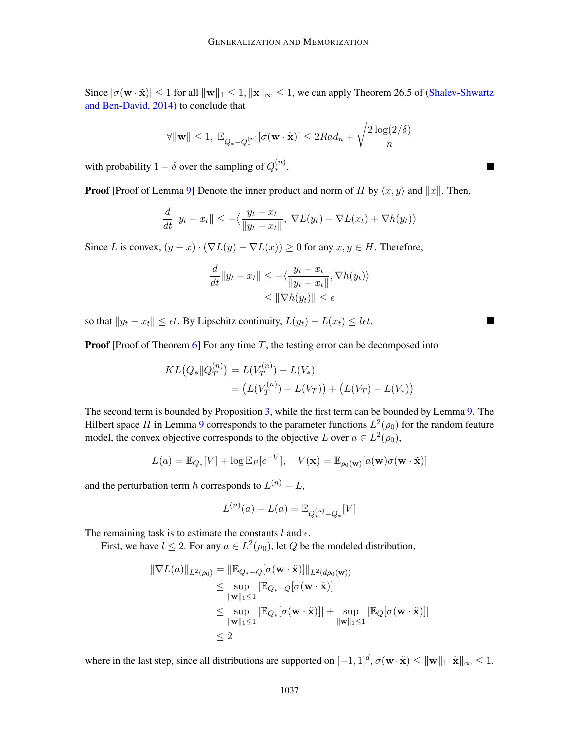Since  $|\sigma(\mathbf{w} \cdot \tilde{\mathbf{x}})| \leq 1$  for all  $\|\mathbf{w}\|_1 \leq 1$ ,  $\|\mathbf{x}\|_{\infty} \leq 1$ , we can apply Theorem 26.5 of [\(Shalev-Shwartz](#page-17-13) [and Ben-David,](#page-17-13) [2014\)](#page-17-13) to conclude that

$$
\forall \|\mathbf{w}\| \leq 1, \ \mathbb{E}_{Q_* - Q_*^{(n)}}[\sigma(\mathbf{w} \cdot \tilde{\mathbf{x}})] \leq 2Rad_n + \sqrt{\frac{2\log(2/\delta)}{n}}
$$

with probability  $1 - \delta$  over the sampling of  $Q_*^{(n)}$ .

**Proof** [Proof of Lemma [9\]](#page-9-1) Denote the inner product and norm of H by  $\langle x, y \rangle$  and  $||x||$ . Then,

$$
\frac{d}{dt}||y_t - x_t|| \leq -\langle \frac{y_t - x_t}{||y_t - x_t||}, \nabla L(y_t) - \nabla L(x_t) + \nabla h(y_t) \rangle
$$

Since L is convex,  $(y - x) \cdot (\nabla L(y) - \nabla L(x)) \ge 0$  for any  $x, y \in H$ . Therefore,

$$
\frac{d}{dt}||y_t - x_t|| \le -\langle \frac{y_t - x_t}{||y_t - x_t||}, \nabla h(y_t) \rangle
$$
  

$$
\le ||\nabla h(y_t)|| \le \epsilon
$$

so that  $||y_t - x_t|| \leq \epsilon t$ . By Lipschitz continuity,  $L(y_t) - L(x_t) \leq \ell \epsilon t$ .

**Proof** [Proof of Theorem  $\overline{6}$ ] For any time T, the testing error can be decomposed into

$$
KL(Q_*||Q_T^{(n)}) = L(V_T^{(n)}) - L(V_*)
$$
  
=  $(L(V_T^{(n)}) - L(V_T)) + (L(V_T) - L(V_*))$ 

The second term is bounded by Proposition [3,](#page-7-1) while the first term can be bounded by Lemma [9.](#page-9-1) The Hilbert space  $H$  in Lemma [9](#page-9-1) corresponds to the parameter functions  $L^2(\rho_0)$  for the random feature model, the convex objective corresponds to the objective L over  $a \in L^2(\rho_0)$ ,

$$
L(a) = \mathbb{E}_{Q_*}[V] + \log \mathbb{E}_P[e^{-V}], \quad V(\mathbf{x}) = \mathbb{E}_{\rho_0(\mathbf{w})}[a(\mathbf{w})\sigma(\mathbf{w} \cdot \tilde{\mathbf{x}})]
$$

and the perturbation term h corresponds to  $L^{(n)} - L$ ,

$$
L^{(n)}(a) - L(a) = \mathbb{E}_{Q_*^{(n)} - Q_*}[V]
$$

The remaining task is to estimate the constants  $l$  and  $\epsilon$ .

First, we have  $l \leq 2$ . For any  $a \in L^2(\rho_0)$ , let Q be the modeled distribution,

$$
\|\nabla L(a)\|_{L^2(\rho_0)} = \|\mathbb{E}_{Q_*-Q}[\sigma(\mathbf{w}\cdot\tilde{\mathbf{x}})]\|_{L^2(d\rho_0(\mathbf{w}))}
$$
  
\n
$$
\leq \sup_{\|\mathbf{w}\|_1 \leq 1} |\mathbb{E}_{Q_*-Q}[\sigma(\mathbf{w}\cdot\tilde{\mathbf{x}})]|
$$
  
\n
$$
\leq \sup_{\|\mathbf{w}\|_1 \leq 1} |\mathbb{E}_{Q_*}[\sigma(\mathbf{w}\cdot\tilde{\mathbf{x}})]| + \sup_{\|\mathbf{w}\|_1 \leq 1} |\mathbb{E}_{Q}[\sigma(\mathbf{w}\cdot\tilde{\mathbf{x}})]|
$$
  
\n
$$
\leq 2
$$

where in the last step, since all distributions are supported on  $[-1,1]^d$ ,  $\sigma(\mathbf{w} \cdot \tilde{\mathbf{x}}) \le ||\mathbf{w}||_1 ||\tilde{\mathbf{x}}||_{\infty} \le 1$ .

Ξ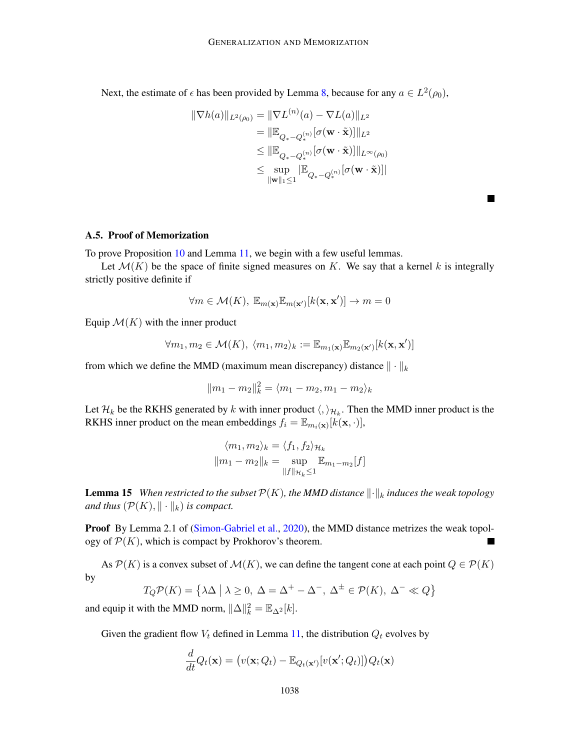Next, the estimate of  $\epsilon$  has been provided by Lemma [8,](#page-9-0) because for any  $a \in L^2(\rho_0)$ ,

$$
\|\nabla h(a)\|_{L^{2}(\rho_{0})} = \|\nabla L^{(n)}(a) - \nabla L(a)\|_{L^{2}}
$$
  
\n
$$
= \|\mathbb{E}_{Q_{*} - Q_{*}^{(n)}}[\sigma(\mathbf{w} \cdot \tilde{\mathbf{x}})]\|_{L^{2}}
$$
  
\n
$$
\leq \|\mathbb{E}_{Q_{*} - Q_{*}^{(n)}}[\sigma(\mathbf{w} \cdot \tilde{\mathbf{x}})]\|_{L^{\infty}(\rho_{0})}
$$
  
\n
$$
\leq \sup_{\|\mathbf{w}\|_{1} \leq 1} |\mathbb{E}_{Q_{*} - Q_{*}^{(n)}}[\sigma(\mathbf{w} \cdot \tilde{\mathbf{x}})]|
$$

 $\blacksquare$ 

A.5. Proof of Memorization

To prove Proposition [10](#page-9-2) and Lemma [11,](#page-10-1) we begin with a few useful lemmas.

Let  $\mathcal{M}(K)$  be the space of finite signed measures on K. We say that a kernel k is integrally strictly positive definite if

$$
\forall m \in \mathcal{M}(K), \ \mathbb{E}_{m(\mathbf{x})} \mathbb{E}_{m(\mathbf{x}')}[k(\mathbf{x}, \mathbf{x}')] \to m = 0
$$

Equip  $\mathcal{M}(K)$  with the inner product

$$
\forall m_1, m_2 \in \mathcal{M}(K), \ \langle m_1, m_2 \rangle_k := \mathbb{E}_{m_1(\mathbf{x})} \mathbb{E}_{m_2(\mathbf{x}')}[k(\mathbf{x}, \mathbf{x}')] \mathbb{E}_{m_2(\mathbf{x}')}[k(\mathbf{x}, \mathbf{x}')] \mathbb{E}_{m_2(\mathbf{x}')}[k(\mathbf{x}, \mathbf{x}')] \mathbb{E}_{m_2(\mathbf{x}')}[k(\mathbf{x}, \mathbf{x}')] \mathbb{E}_{m_2(\mathbf{x}')}[k(\mathbf{x}, \mathbf{x}')] \mathbb{E}_{m_2(\mathbf{x}')}[k(\mathbf{x}, \mathbf{x}')] \mathbb{E}_{m_2(\mathbf{x}')}[k(\mathbf{x}, \mathbf{x}')] \mathbb{E}_{m_2(\mathbf{x}')}[k(\mathbf{x}, \mathbf{x}')] \mathbb{E}_{m_2(\mathbf{x}')}[k(\mathbf{x}, \mathbf{x}')] \mathbb{E}_{m_2(\mathbf{x}')}[k(\mathbf{x}, \mathbf{x}')] \mathbb{E}_{m_2(\mathbf{x}')}[k(\mathbf{x}, \mathbf{x}')] \mathbb{E}_{m_2(\mathbf{x}')}[k(\mathbf{x}, \mathbf{x}')] \mathbb{E}_{m_2(\mathbf{x}')}[k(\mathbf{x}, \mathbf{x}')] \mathbb{E}_{m_2(\mathbf{x}')}[k(\mathbf{x}, \mathbf{x}')] \mathbb{E}_{m_2(\mathbf{x}')}[k(\mathbf{x}, \mathbf{x}')] \mathbb{E}_{m_2(\mathbf{x}')}[k(\mathbf{x}, \mathbf{x}')] \mathbb{E}_{m_2(\mathbf{x}')}[k(\mathbf{x}, \mathbf{x}')] \mathbb{E}_{m_2(\mathbf{x}')}[k(\mathbf{x}, \mathbf{x}')] \mathbb{E}_{m_2(\mathbf{x}')}[k(\mathbf{x}, \mathbf{x}')] \mathbb{E}_{m_2(\mathbf{x}')}[k(\mathbf{x}, \mathbf{x}')] \mathbb{E}_{m_2(\mathbf{x}')}[k(\mathbf{x}, \mathbf{x}')] \mathbb{E}_{m_2(\mathbf{x}')}[k(\mathbf{x}, \mathbf{x}')] \mathbb{E}_{m_2(\mathbf{x}')}[k(\mathbf{x}, \mathbf{x}')] \mathbb{E}_{m_2(\mathbf{x}')}[k(\mathbf{x}, \mathbf{x}')] \mathbb{E}_{m_2(\mathbf{x}')}[k(\mathbf{x}, \mathbf{x}')] \mathbb{E}_{m_2(\mathbf
$$

from which we define the MMD (maximum mean discrepancy) distance  $\|\cdot\|_k$ 

$$
||m_1 - m_2||_k^2 = \langle m_1 - m_2, m_1 - m_2 \rangle_k
$$

Let  $\mathcal{H}_k$  be the RKHS generated by k with inner product  $\langle,\rangle_{\mathcal{H}_k}$ . Then the MMD inner product is the RKHS inner product on the mean embeddings  $f_i = \mathbb{E}_{m_i(\mathbf{x})}[k(\mathbf{x}, \cdot)],$ 

$$
\langle m_1, m_2 \rangle_k = \langle f_1, f_2 \rangle_{\mathcal{H}_k}
$$

$$
||m_1 - m_2||_k = \sup_{||f||_{\mathcal{H}_k} \le 1} \mathbb{E}_{m_1 - m_2}[f]
$$

<span id="page-25-0"></span>**Lemma 15** *When restricted to the subset*  $\mathcal{P}(K)$ *, the MMD distance*  $\|\cdot\|_k$  *induces the weak topology and thus*  $(\mathcal{P}(K), \|\cdot\|_k)$  *is compact.* 

Proof By Lemma 2.1 of [\(Simon-Gabriel et al.,](#page-17-14) [2020\)](#page-17-14), the MMD distance metrizes the weak topology of  $\mathcal{P}(K)$ , which is compact by Prokhorov's theorem.  $\overline{\phantom{a}}$ 

As  $P(K)$  is a convex subset of  $\mathcal{M}(K)$ , we can define the tangent cone at each point  $Q \in \mathcal{P}(K)$ by

$$
T_Q \mathcal{P}(K) = \{ \lambda \Delta \mid \lambda \ge 0, \ \Delta = \Delta^+ - \Delta^-, \ \Delta^{\pm} \in \mathcal{P}(K), \ \Delta^- \ll Q \}
$$

and equip it with the MMD norm,  $\|\Delta\|_k^2 = \mathbb{E}_{\Delta^2}[k]$ .

Given the gradient flow  $V_t$  defined in Lemma [11,](#page-10-1) the distribution  $Q_t$  evolves by

$$
\frac{d}{dt}Q_t(\mathbf{x}) = (v(\mathbf{x}; Q_t) - \mathbb{E}_{Q_t(\mathbf{x}')}[v(\mathbf{x}'; Q_t)])Q_t(\mathbf{x})
$$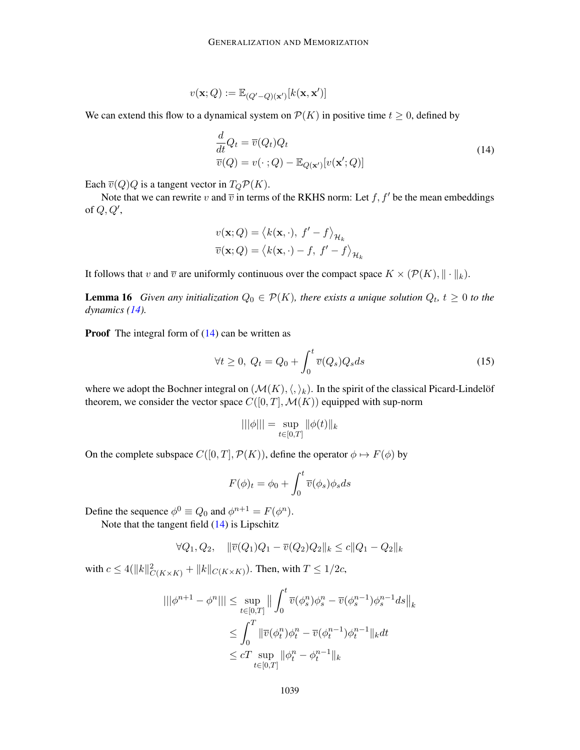$$
v(\mathbf{x}; Q) := \mathbb{E}_{(Q'-Q)(\mathbf{x}')}[k(\mathbf{x}, \mathbf{x}')]
$$

We can extend this flow to a dynamical system on  $\mathcal{P}(K)$  in positive time  $t \geq 0$ , defined by

<span id="page-26-0"></span>
$$
\frac{d}{dt}Q_t = \overline{v}(Q_t)Q_t
$$
\n
$$
\overline{v}(Q) = v(\cdot \; ; Q) - \mathbb{E}_{Q(\mathbf{x}')}[v(\mathbf{x}'; Q)]
$$
\n(14)

Each  $\overline{v}(Q)Q$  is a tangent vector in  $T_Q\mathcal{P}(K)$ .

Note that we can rewrite v and  $\overline{v}$  in terms of the RKHS norm: Let f, f' be the mean embeddings of  $Q, Q',$ 

$$
v(\mathbf{x}; Q) = \langle k(\mathbf{x}, \cdot), f' - f \rangle_{\mathcal{H}_k}
$$

$$
\overline{v}(\mathbf{x}; Q) = \langle k(\mathbf{x}, \cdot) - f, f' - f \rangle_{\mathcal{H}_k}
$$

<span id="page-26-2"></span>It follows that v and  $\overline{v}$  are uniformly continuous over the compact space  $K \times (\mathcal{P}(K), \|\cdot\|_k)$ .

**Lemma 16** Given any initialization  $Q_0 \in \mathcal{P}(K)$ , there exists a unique solution  $Q_t$ ,  $t \geq 0$  to the *dynamics [\(14\)](#page-26-0).*

**Proof** The integral form of  $(14)$  can be written as

<span id="page-26-1"></span>
$$
\forall t \ge 0, \ Q_t = Q_0 + \int_0^t \overline{v}(Q_s) Q_s ds \tag{15}
$$

where we adopt the Bochner integral on  $(\mathcal{M}(K),\langle,\rangle_k)$ . In the spirit of the classical Picard-Lindelöf theorem, we consider the vector space  $C([0, T], \mathcal{M}(K))$  equipped with sup-norm

$$
|||\phi||| = \sup_{t \in [0,T]} \|\phi(t)\|_{k}
$$

On the complete subspace  $C([0, T], \mathcal{P}(K))$ , define the operator  $\phi \mapsto F(\phi)$  by

$$
F(\phi)_t = \phi_0 + \int_0^t \overline{v}(\phi_s)\phi_s ds
$$

Define the sequence  $\phi^0 \equiv Q_0$  and  $\phi^{n+1} = F(\phi^n)$ .

Note that the tangent field [\(14\)](#page-26-0) is Lipschitz

$$
\forall Q_1, Q_2, \quad \|\overline{v}(Q_1)Q_1 - \overline{v}(Q_2)Q_2\|_{k} \le c\|Q_1 - Q_2\|_{k}
$$

with  $c \leq 4(||k||^2_{C(K \times K)} + ||k||_{C(K \times K)})$ . Then, with  $T \leq 1/2c$ ,

$$
\begin{aligned} |||\phi^{n+1}-\phi^{n}|||&\leq \sup_{t\in[0,T]} \big\|\int_0^t \overline{v}(\phi^n_s)\phi^n_s-\overline{v}(\phi^{n-1}_s)\phi^{n-1}_s ds\big\|_{k}\\ &\leq \int_0^T \|\overline{v}(\phi^n_t)\phi^n_t-\overline{v}(\phi^{n-1}_t)\phi^{n-1}_t\|_{k} dt\\ &\leq cT\sup_{t\in[0,T]}\|\phi^n_t-\phi^{n-1}_t\|_{k} \end{aligned}
$$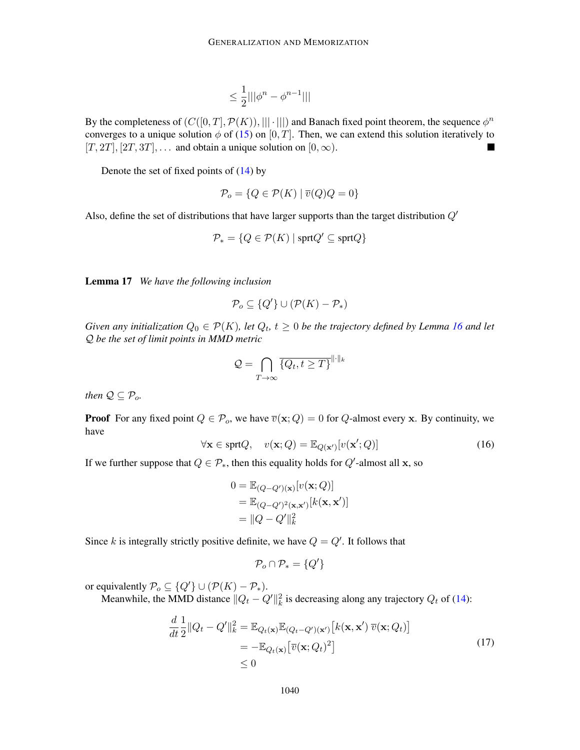$$
\leq \frac{1}{2}|||\phi^n-\phi^{n-1}|||
$$

By the completeness of  $(C([0, T], \mathcal{P}(K)), ||| \cdot |||)$  and Banach fixed point theorem, the sequence  $\phi^n$ converges to a unique solution  $\phi$  of [\(15\)](#page-26-1) on [0, T]. Then, we can extend this solution iteratively to  $[T, 2T], [2T, 3T], \ldots$  and obtain a unique solution on  $[0, \infty)$ .

Denote the set of fixed points of [\(14\)](#page-26-0) by

$$
\mathcal{P}_o = \{ Q \in \mathcal{P}(K) \mid \overline{v}(Q)Q = 0 \}
$$

Also, define the set of distributions that have larger supports than the target distribution  $Q'$ 

$$
\mathcal{P}_* = \{ Q \in \mathcal{P}(K) \mid \text{sprt} Q' \subseteq \text{sprt} Q \}
$$

<span id="page-27-2"></span>Lemma 17 *We have the following inclusion*

$$
\mathcal{P}_o \subseteq \{Q'\} \cup (\mathcal{P}(K) - \mathcal{P}_*)
$$

*Given any initialization*  $Q_0 \in \mathcal{P}(K)$ , let  $Q_t$ ,  $t \geq 0$  be the trajectory defined by Lemma [16](#page-26-2) and let Q *be the set of limit points in MMD metric*

$$
\mathcal{Q} = \bigcap_{T \to \infty} \overline{\{Q_t, t \geq T\}}^{\| \cdot \|_k}
$$

*then*  $Q \subseteq P_o$ .

**Proof** For any fixed point  $Q \in \mathcal{P}_o$ , we have  $\overline{v}(\mathbf{x}; Q) = 0$  for Q-almost every x. By continuity, we have

<span id="page-27-1"></span>
$$
\forall \mathbf{x} \in \text{sprt}Q, \quad v(\mathbf{x}; Q) = \mathbb{E}_{Q(\mathbf{x}')}[v(\mathbf{x}'; Q)] \tag{16}
$$

If we further suppose that  $Q \in \mathcal{P}_{*}$ , then this equality holds for  $Q'$ -almost all x, so

$$
0 = \mathbb{E}_{(Q-Q')(\mathbf{x})}[v(\mathbf{x};Q)]
$$
  
=  $\mathbb{E}_{(Q-Q')^2(\mathbf{x},\mathbf{x}')}[k(\mathbf{x},\mathbf{x}')]$   
=  $||Q-Q'||_k^2$ 

Since k is integrally strictly positive definite, we have  $Q = Q'$ . It follows that

<span id="page-27-0"></span>
$$
\mathcal{P}_o \cap \mathcal{P}_* = \{Q'\}
$$

or equivalently  $\mathcal{P}_o \subseteq \{Q'\} \cup (\mathcal{P}(K) - \mathcal{P}_*).$ 

Meanwhile, the MMD distance  $||Q_t - Q'||_k^2$  is decreasing along any trajectory  $Q_t$  of [\(14\)](#page-26-0):

$$
\frac{d}{dt}\frac{1}{2}||Q_t - Q'||_k^2 = \mathbb{E}_{Q_t(\mathbf{x})}\mathbb{E}_{(Q_t - Q')(\mathbf{x}')}[k(\mathbf{x}, \mathbf{x}') \overline{v}(\mathbf{x}; Q_t)]
$$
\n
$$
= -\mathbb{E}_{Q_t(\mathbf{x})}[\overline{v}(\mathbf{x}; Q_t)^2]
$$
\n
$$
\leq 0
$$
\n(17)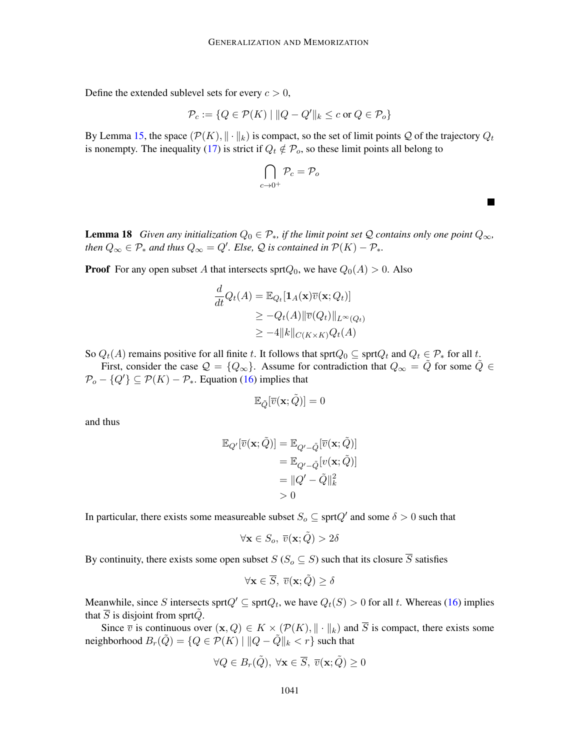Define the extended sublevel sets for every  $c > 0$ ,

$$
\mathcal{P}_c := \{ Q \in \mathcal{P}(K) \mid ||Q - Q'||_k \le c \text{ or } Q \in \mathcal{P}_o \}
$$

By Lemma [15,](#page-25-0) the space  $(\mathcal{P}(K), \|\cdot\|_k)$  is compact, so the set of limit points Q of the trajectory  $Q_t$ is nonempty. The inequality [\(17\)](#page-27-0) is strict if  $Q_t \notin \mathcal{P}_o$ , so these limit points all belong to

$$
\bigcap_{c\to 0^+} \mathcal{P}_c = \mathcal{P}_o
$$

 $\overline{\phantom{a}}$ 

<span id="page-28-0"></span>**Lemma 18** *Given any initialization*  $Q_0 \in \mathcal{P}_*$ , *if the limit point set*  $\mathcal Q$  *contains only one point*  $Q_\infty$ *, then*  $Q_{\infty} \in \mathcal{P}_*$  *and thus*  $Q_{\infty} = Q'$ *. Else,*  $\mathcal{Q}$  *is contained in*  $\mathcal{P}(K) - \mathcal{P}_*$ *.* 

**Proof** For any open subset A that intersects sprt $Q_0$ , we have  $Q_0(A) > 0$ . Also

$$
\frac{d}{dt}Q_t(A) = \mathbb{E}_{Q_t}[\mathbf{1}_A(\mathbf{x})\overline{v}(\mathbf{x}; Q_t)]
$$
\n
$$
\geq -Q_t(A)\|\overline{v}(Q_t)\|_{L^{\infty}(Q_t)}
$$
\n
$$
\geq -4\|k\|_{C(K\times K)}Q_t(A)
$$

So  $Q_t(A)$  remains positive for all finite t. It follows that sprt $Q_0 \subseteq \text{sprt}Q_t$  and  $Q_t \in \mathcal{P}_*$  for all t.

First, consider the case  $\mathcal{Q} = \{Q_{\infty}\}\$ . Assume for contradiction that  $Q_{\infty} = \tilde{Q}$  for some  $\tilde{Q} \in \mathcal{Q}$  $\mathcal{P}_o - \{Q'\} \subseteq \mathcal{P}(K) - \mathcal{P}_*$ . Equation [\(16\)](#page-27-1) implies that

$$
\mathbb{E}_{\tilde{Q}}[\overline{v}(\mathbf{x};\tilde{Q})] = 0
$$

and thus

$$
\mathbb{E}_{Q'}[\overline{v}(\mathbf{x};\tilde{Q})] = \mathbb{E}_{Q'-\tilde{Q}}[\overline{v}(\mathbf{x};\tilde{Q})] \n= \mathbb{E}_{Q'-\tilde{Q}}[v(\mathbf{x};\tilde{Q})] \n= ||Q'-\tilde{Q}||_k^2 \n> 0
$$

In particular, there exists some measureable subset  $S_o \subseteq \text{sprt}Q'$  and some  $\delta > 0$  such that

$$
\forall \mathbf{x} \in S_o,\ \overline{v}(\mathbf{x};\tilde{Q}) > 2\delta
$$

By continuity, there exists some open subset  $S$  ( $S_0 \subseteq S$ ) such that its closure  $\overline{S}$  satisfies

$$
\forall \mathbf{x} \in \overline{S}, \ \overline{v}(\mathbf{x}; \tilde{Q}) \ge \delta
$$

Meanwhile, since S intersects sprt $Q' \subseteq \text{sprt}Q_t$ , we have  $Q_t(S) > 0$  for all t. Whereas [\(16\)](#page-27-1) implies that  $\overline{S}$  is disjoint from sprt $\overline{Q}$ .

Since  $\overline{v}$  is continuous over  $(\mathbf{x}, Q) \in K \times (P(K), ||\cdot||_k)$  and  $\overline{S}$  is compact, there exists some neighborhood  $B_r(\tilde{Q}) = \{Q \in \mathcal{P}(K) \mid ||Q - \tilde{Q}||_k < r\}$  such that

$$
\forall Q \in B_r(\tilde{Q}), \ \forall \mathbf{x} \in \overline{S}, \ \overline{v}(\mathbf{x}; \tilde{Q}) \ge 0
$$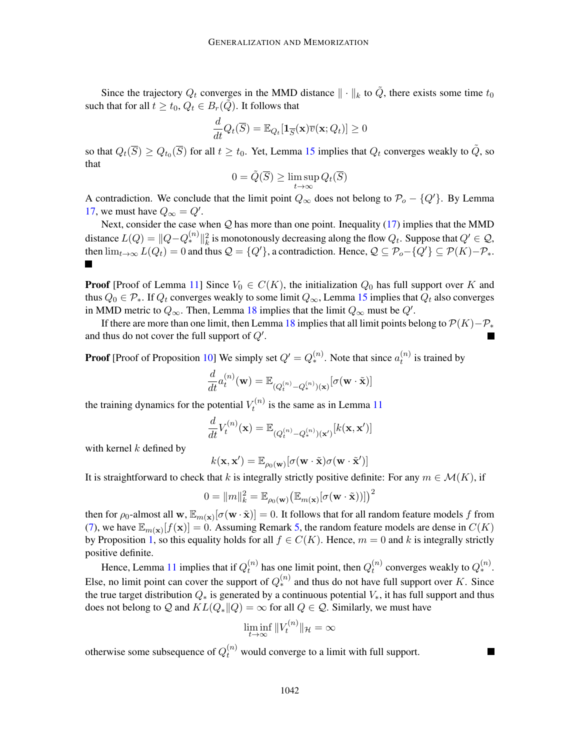Since the trajectory  $Q_t$  converges in the MMD distance  $\|\cdot\|_k$  to  $\tilde{Q}$ , there exists some time  $t_0$ such that for all  $t \geq t_0$ ,  $Q_t \in B_r(\tilde{Q})$ . It follows that

$$
\frac{d}{dt}Q_t(\overline{S}) = \mathbb{E}_{Q_t}[\mathbf{1}_{\overline{S}}(\mathbf{x})\overline{v}(\mathbf{x}; Q_t)] \ge 0
$$

so that  $Q_t(\overline{S}) \geq Q_{t_0}(\overline{S})$  for all  $t \geq t_0$ . Yet, Lemma [15](#page-25-0) implies that  $Q_t$  converges weakly to  $\tilde{Q}$ , so that

$$
0 = \tilde{Q}(\overline{S}) \ge \limsup_{t \to \infty} Q_t(\overline{S})
$$

A contradiction. We conclude that the limit point  $Q_{\infty}$  does not belong to  $\mathcal{P}_{o} - \{Q'\}$ . By Lemma [17,](#page-27-2) we must have  $Q_{\infty} = Q'$ .

Next, consider the case when  $Q$  has more than one point. Inequality [\(17\)](#page-27-0) implies that the MMD distance  $L(Q) = ||Q - Q_*^{(n)}||_k^2$  is monotonously decreasing along the flow  $Q_t$ . Suppose that  $Q' \in \mathcal{Q}$ , then  $\lim_{t\to\infty} L(Q_t) = 0$  and thus  $\mathcal{Q} = \{Q'\}$ , a contradiction. Hence,  $\mathcal{Q} \subseteq \mathcal{P}_o - \{Q'\} \subseteq \mathcal{P}(K) - \mathcal{P}_*.$ П

**Proof** [Proof of Lemma [11\]](#page-10-1) Since  $V_0 \in C(K)$ , the initialization  $Q_0$  has full support over K and thus  $Q_0 \in \mathcal{P}_*$ . If  $Q_t$  converges weakly to some limit  $Q_{\infty}$ , Lemma [15](#page-25-0) implies that  $Q_t$  also converges in MMD metric to  $Q_{\infty}$ . Then, Lemma [18](#page-28-0) implies that the limit  $Q_{\infty}$  must be  $Q'$ .

If there are more than one limit, then Lemma [18](#page-28-0) implies that all limit points belong to  $\mathcal{P}(K)-\mathcal{P}_*$ and thus do not cover the full support of  $Q'$ .

**Proof** [Proof of Proposition [10\]](#page-9-2) We simply set  $Q' = Q_*^{(n)}$ . Note that since  $a_t^{(n)}$  $t^{(n)}$  is trained by

$$
\frac{d}{dt}a_t^{(n)}(\mathbf{w}) = \mathbb{E}_{(Q_t^{(n)} - Q_*^{(n)})(\mathbf{x})}[\sigma(\mathbf{w} \cdot \tilde{\mathbf{x}})]
$$

the training dynamics for the potential  $V_t^{(n)}$  $t_t^{(n)}$  is the same as in Lemma [11](#page-10-1)

$$
\frac{d}{dt}V_t^{(n)}(\mathbf{x}) = \mathbb{E}_{(Q_t^{(n)} - Q_*^{(n)})(\mathbf{x}')}[k(\mathbf{x}, \mathbf{x}')]
$$

with kernel  $k$  defined by

$$
k(\mathbf{x},\mathbf{x}') = \mathbb{E}_{\rho_0(\mathbf{w})}[\sigma(\mathbf{w}\cdot\tilde{\mathbf{x}})\sigma(\mathbf{w}\cdot\tilde{\mathbf{x}}')]
$$

It is straightforward to check that k is integrally strictly positive definite: For any  $m \in \mathcal{M}(K)$ , if

$$
0 = \|m\|_{k}^{2} = \mathbb{E}_{\rho_{0}(\mathbf{w})}(\mathbb{E}_{m(\mathbf{x})}[\sigma(\mathbf{w}\cdot\tilde{\mathbf{x}}))]\big)^{2}
$$

then for  $\rho_0$ -almost all  $w$ ,  $\mathbb{E}_{m(\mathbf{x})}[\sigma(w \cdot \tilde{\mathbf{x}})] = 0$ . It follows that for all random feature models f from [\(7\)](#page-4-2), we have  $\mathbb{E}_{m(\mathbf{x})}[f(\mathbf{x})] = 0$ . Assuming Remark [5,](#page-8-1) the random feature models are dense in  $C(K)$ by Proposition [1,](#page-5-0) so this equality holds for all  $f \in C(K)$ . Hence,  $m = 0$  and k is integrally strictly positive definite.

Hence, Lemma [11](#page-10-1) implies that if  $Q_t^{(n)}$  $t_t^{(n)}$  has one limit point, then  $Q_t^{(n)}$  $t^{(n)}_t$  converges weakly to  $Q_*^{(n)}$ . Else, no limit point can cover the support of  $Q_*^{(n)}$  and thus do not have full support over K. Since the true target distribution  $Q_*$  is generated by a continuous potential  $V_*$ , it has full support and thus does not belong to Q and  $KL(Q_*||Q) = \infty$  for all  $Q \in \mathcal{Q}$ . Similarly, we must have

$$
\liminf_{t\to\infty}||V_t^{(n)}||_{\mathcal{H}}=\infty
$$

otherwise some subsequence of  $Q_t^{(n)}$  would converge to a limit with full support.